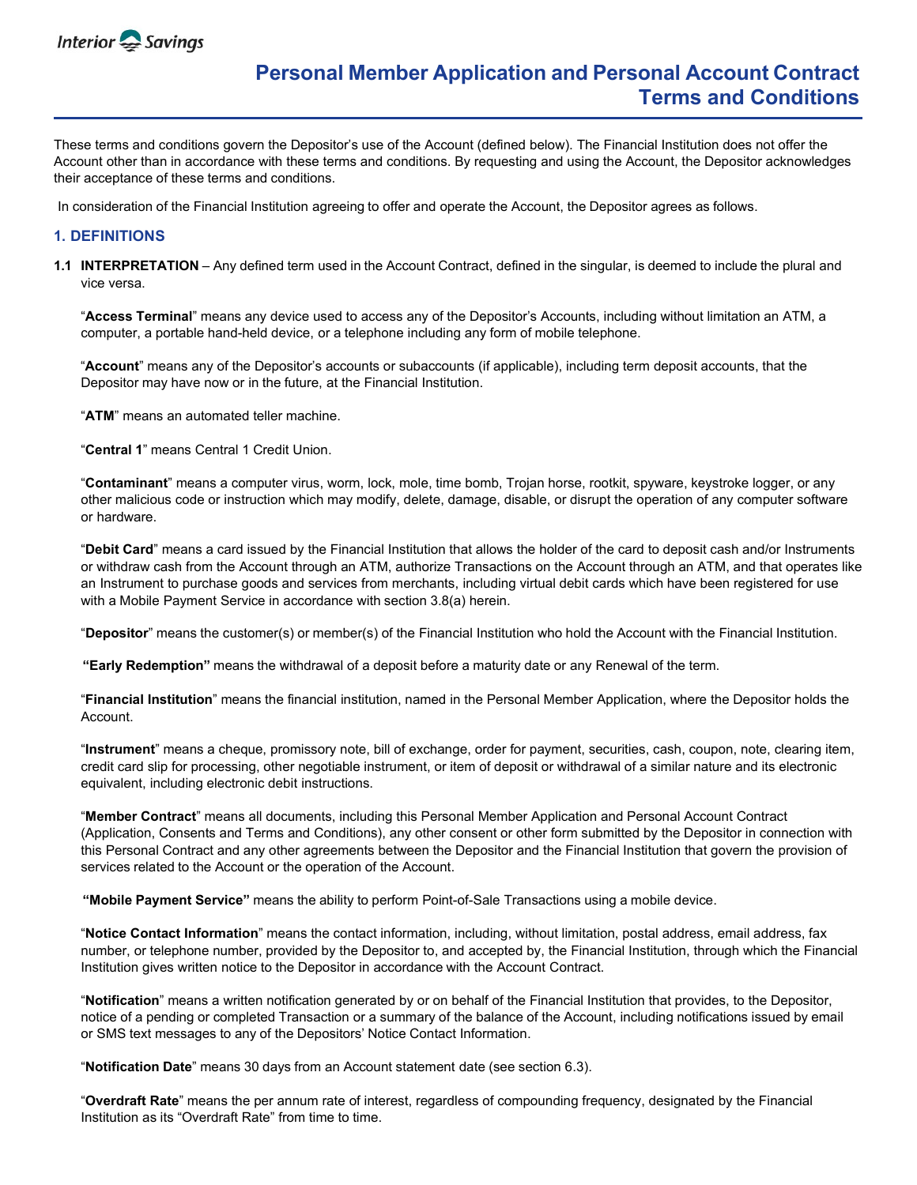

# **Personal Member Application and Personal Account Contract Terms and Conditions**

These terms and conditions govern the Depositor's use of the Account (defined below). The Financial Institution does not offer the Account other than in accordance with these terms and conditions. By requesting and using the Account, the Depositor acknowledges their acceptance of these terms and conditions.

In consideration of the Financial Institution agreeing to offer and operate the Account, the Depositor agrees as follows.

## **1. DEFINITIONS**

**1.1 INTERPRETATION** – Any defined term used in the Account Contract, defined in the singular, is deemed to include the plural and vice versa.

"**Access Terminal**" means any device used to access any of the Depositor's Accounts, including without limitation an ATM, a computer, a portable hand-held device, or a telephone including any form of mobile telephone.

"**Account**" means any of the Depositor's accounts or subaccounts (if applicable), including term deposit accounts, that the Depositor may have now or in the future, at the Financial Institution.

"**ATM**" means an automated teller machine.

"**Central 1**" means Central 1 Credit Union.

"**Contaminant**" means a computer virus, worm, lock, mole, time bomb, Trojan horse, rootkit, spyware, keystroke logger, or any other malicious code or instruction which may modify, delete, damage, disable, or disrupt the operation of any computer software or hardware.

"**Debit Card**" means a card issued by the Financial Institution that allows the holder of the card to deposit cash and/or Instruments or withdraw cash from the Account through an ATM, authorize Transactions on the Account through an ATM, and that operates like an Instrument to purchase goods and services from merchants, including virtual debit cards which have been registered for use with a Mobile Payment Service in accordance with section 3.8(a) herein.

"**Depositor**" means the customer(s) or member(s) of the Financial Institution who hold the Account with the Financial Institution.

**"Early Redemption"** means the withdrawal of a deposit before a maturity date or any Renewal of the term.

"**Financial Institution**" means the financial institution, named in the Personal Member Application, where the Depositor holds the Account.

"**Instrument**" means a cheque, promissory note, bill of exchange, order for payment, securities, cash, coupon, note, clearing item, credit card slip for processing, other negotiable instrument, or item of deposit or withdrawal of a similar nature and its electronic equivalent, including electronic debit instructions.

"**Member Contract**" means all documents, including this Personal Member Application and Personal Account Contract (Application, Consents and Terms and Conditions), any other consent or other form submitted by the Depositor in connection with this Personal Contract and any other agreements between the Depositor and the Financial Institution that govern the provision of services related to the Account or the operation of the Account.

**"Mobile Payment Service"** means the ability to perform Point-of-Sale Transactions using a mobile device.

"**Notice Contact Information**" means the contact information, including, without limitation, postal address, email address, fax number, or telephone number, provided by the Depositor to, and accepted by, the Financial Institution, through which the Financial Institution gives written notice to the Depositor in accordance with the Account Contract.

"**Notification**" means a written notification generated by or on behalf of the Financial Institution that provides, to the Depositor, notice of a pending or completed Transaction or a summary of the balance of the Account, including notifications issued by email or SMS text messages to any of the Depositors' Notice Contact Information.

"**Notification Date**" means 30 days from an Account statement date (see section 6.3).

"**Overdraft Rate**" means the per annum rate of interest, regardless of compounding frequency, designated by the Financial Institution as its "Overdraft Rate" from time to time.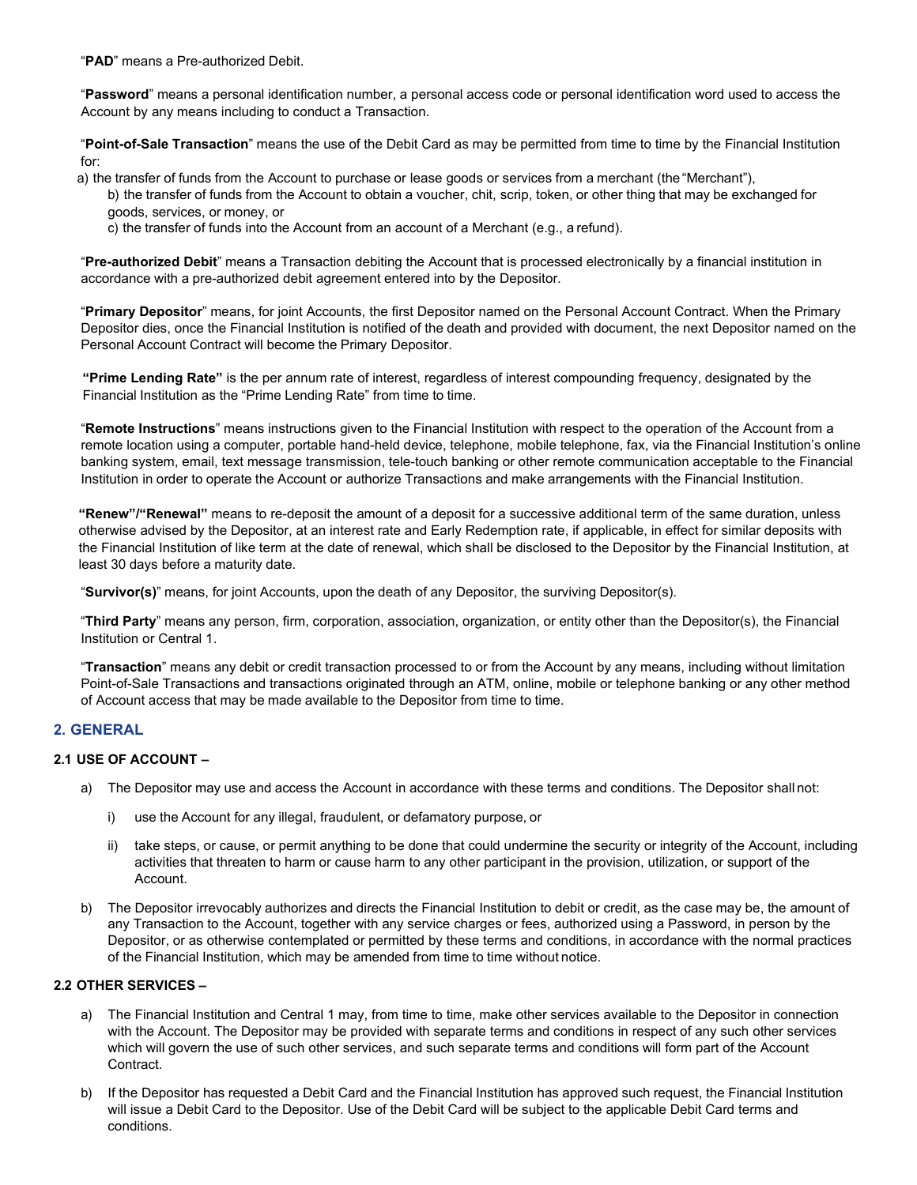"**PAD**" means a Pre-authorized Debit.

"**Password**" means a personal identification number, a personal access code or personal identification word used to access the Account by any means including to conduct a Transaction.

"**Point-of-Sale Transaction**" means the use of the Debit Card as may be permitted from time to time by the Financial Institution for:

a) the transfer of funds from the Account to purchase or lease goods or services from a merchant (the "Merchant"),

b) the transfer of funds from the Account to obtain a voucher, chit, scrip, token, or other thing that may be exchanged for goods, services, or money, or

c) the transfer of funds into the Account from an account of a Merchant (e.g., a refund).

"**Pre-authorized Debit**" means a Transaction debiting the Account that is processed electronically by a financial institution in accordance with a pre-authorized debit agreement entered into by the Depositor.

"**Primary Depositor**" means, for joint Accounts, the first Depositor named on the Personal Account Contract. When the Primary Depositor dies, once the Financial Institution is notified of the death and provided with document, the next Depositor named on the Personal Account Contract will become the Primary Depositor.

**"Prime Lending Rate"** is the per annum rate of interest, regardless of interest compounding frequency, designated by the Financial Institution as the "Prime Lending Rate" from time to time.

"**Remote Instructions**" means instructions given to the Financial Institution with respect to the operation of the Account from a remote location using a computer, portable hand-held device, telephone, mobile telephone, fax, via the Financial Institution's online banking system, email, text message transmission, tele-touch banking or other remote communication acceptable to the Financial Institution in order to operate the Account or authorize Transactions and make arrangements with the Financial Institution.

**"Renew"/"Renewal"** means to re-deposit the amount of a deposit for a successive additional term of the same duration, unless otherwise advised by the Depositor, at an interest rate and Early Redemption rate, if applicable, in effect for similar deposits with the Financial Institution of like term at the date of renewal, which shall be disclosed to the Depositor by the Financial Institution, at least 30 days before a maturity date.

"**Survivor(s)**" means, for joint Accounts, upon the death of any Depositor, the surviving Depositor(s).

"**Third Party**" means any person, firm, corporation, association, organization, or entity other than the Depositor(s), the Financial Institution or Central 1.

"**Transaction**" means any debit or credit transaction processed to or from the Account by any means, including without limitation Point-of-Sale Transactions and transactions originated through an ATM, online, mobile or telephone banking or any other method of Account access that may be made available to the Depositor from time to time.

# **2. GENERAL**

## **2.1 USE OF ACCOUNT –**

- a) The Depositor may use and access the Account in accordance with these terms and conditions. The Depositor shall not:
	- i) use the Account for any illegal, fraudulent, or defamatory purpose, or
	- ii) take steps, or cause, or permit anything to be done that could undermine the security or integrity of the Account, including activities that threaten to harm or cause harm to any other participant in the provision, utilization, or support of the Account.
- b) The Depositor irrevocably authorizes and directs the Financial Institution to debit or credit, as the case may be, the amount of any Transaction to the Account, together with any service charges or fees, authorized using a Password, in person by the Depositor, or as otherwise contemplated or permitted by these terms and conditions, in accordance with the normal practices of the Financial Institution, which may be amended from time to time without notice.

#### **2.2 OTHER SERVICES –**

- a) The Financial Institution and Central 1 may, from time to time, make other services available to the Depositor in connection with the Account. The Depositor may be provided with separate terms and conditions in respect of any such other services which will govern the use of such other services, and such separate terms and conditions will form part of the Account Contract.
- b) If the Depositor has requested a Debit Card and the Financial Institution has approved such request, the Financial Institution will issue a Debit Card to the Depositor. Use of the Debit Card will be subject to the applicable Debit Card terms and conditions.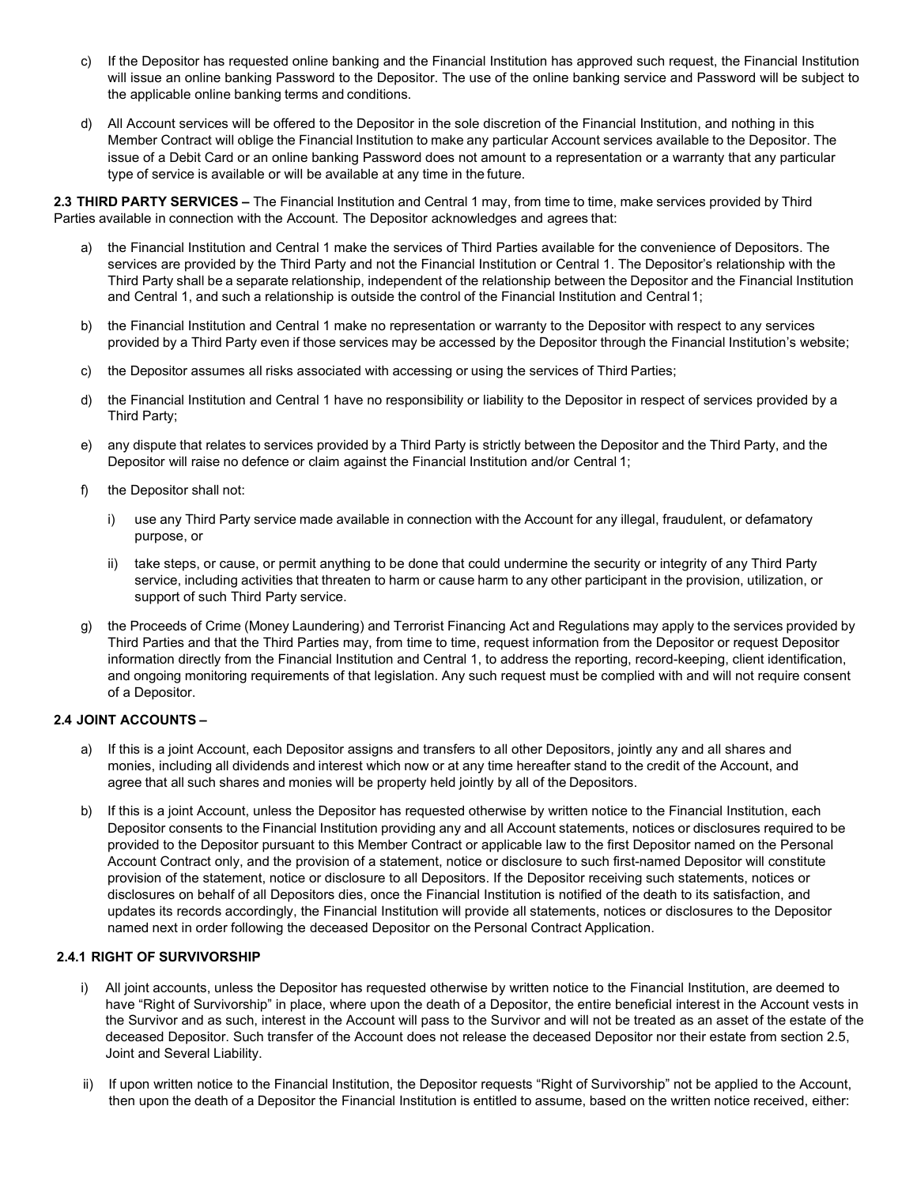- c) If the Depositor has requested online banking and the Financial Institution has approved such request, the Financial Institution will issue an online banking Password to the Depositor. The use of the online banking service and Password will be subject to the applicable online banking terms and conditions.
- d) All Account services will be offered to the Depositor in the sole discretion of the Financial Institution, and nothing in this Member Contract will oblige the Financial Institution to make any particular Account services available to the Depositor. The issue of a Debit Card or an online banking Password does not amount to a representation or a warranty that any particular type of service is available or will be available at any time in the future.

**2.3 THIRD PARTY SERVICES –** The Financial Institution and Central 1 may, from time to time, make services provided by Third Parties available in connection with the Account. The Depositor acknowledges and agrees that:

- a) the Financial Institution and Central 1 make the services of Third Parties available for the convenience of Depositors. The services are provided by the Third Party and not the Financial Institution or Central 1. The Depositor's relationship with the Third Party shall be a separate relationship, independent of the relationship between the Depositor and the Financial Institution and Central 1, and such a relationship is outside the control of the Financial Institution and Central1;
- b) the Financial Institution and Central 1 make no representation or warranty to the Depositor with respect to any services provided by a Third Party even if those services may be accessed by the Depositor through the Financial Institution's website;
- c) the Depositor assumes all risks associated with accessing or using the services of Third Parties;
- d) the Financial Institution and Central 1 have no responsibility or liability to the Depositor in respect of services provided by a Third Party;
- e) any dispute that relates to services provided by a Third Party is strictly between the Depositor and the Third Party, and the Depositor will raise no defence or claim against the Financial Institution and/or Central 1;
- f) the Depositor shall not:
	- i) use any Third Party service made available in connection with the Account for any illegal, fraudulent, or defamatory purpose, or
	- ii) take steps, or cause, or permit anything to be done that could undermine the security or integrity of any Third Party service, including activities that threaten to harm or cause harm to any other participant in the provision, utilization, or support of such Third Party service.
- g) the Proceeds of Crime (Money Laundering) and Terrorist Financing Act and Regulations may apply to the services provided by Third Parties and that the Third Parties may, from time to time, request information from the Depositor or request Depositor information directly from the Financial Institution and Central 1, to address the reporting, record-keeping, client identification, and ongoing monitoring requirements of that legislation. Any such request must be complied with and will not require consent of a Depositor.

# **2.4 JOINT ACCOUNTS –**

- a) If this is a joint Account, each Depositor assigns and transfers to all other Depositors, jointly any and all shares and monies, including all dividends and interest which now or at any time hereafter stand to the credit of the Account, and agree that all such shares and monies will be property held jointly by all of the Depositors.
- b) If this is a joint Account, unless the Depositor has requested otherwise by written notice to the Financial Institution, each Depositor consents to the Financial Institution providing any and all Account statements, notices or disclosures required to be provided to the Depositor pursuant to this Member Contract or applicable law to the first Depositor named on the Personal Account Contract only, and the provision of a statement, notice or disclosure to such first-named Depositor will constitute provision of the statement, notice or disclosure to all Depositors. If the Depositor receiving such statements, notices or disclosures on behalf of all Depositors dies, once the Financial Institution is notified of the death to its satisfaction, and updates its records accordingly, the Financial Institution will provide all statements, notices or disclosures to the Depositor named next in order following the deceased Depositor on the Personal Contract Application.

#### **2.4.1 RIGHT OF SURVIVORSHIP**

- All joint accounts, unless the Depositor has requested otherwise by written notice to the Financial Institution, are deemed to have "Right of Survivorship" in place, where upon the death of a Depositor, the entire beneficial interest in the Account vests in the Survivor and as such, interest in the Account will pass to the Survivor and will not be treated as an asset of the estate of the deceased Depositor. Such transfer of the Account does not release the deceased Depositor nor their estate from section 2.5, Joint and Several Liability.
- ii) If upon written notice to the Financial Institution, the Depositor requests "Right of Survivorship" not be applied to the Account, then upon the death of a Depositor the Financial Institution is entitled to assume, based on the written notice received, either: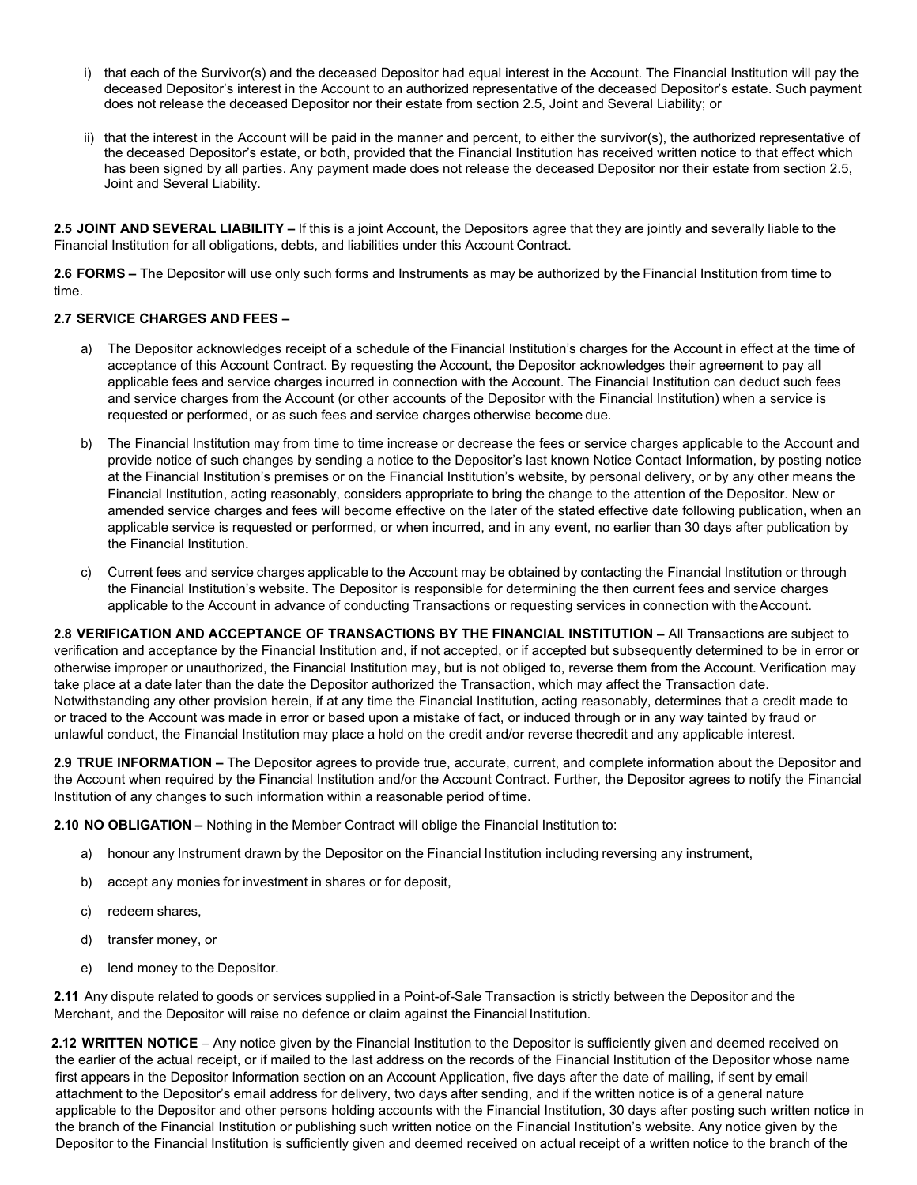- i) that each of the Survivor(s) and the deceased Depositor had equal interest in the Account. The Financial Institution will pay the deceased Depositor's interest in the Account to an authorized representative of the deceased Depositor's estate. Such payment does not release the deceased Depositor nor their estate from section 2.5, Joint and Several Liability; or
- ii) that the interest in the Account will be paid in the manner and percent, to either the survivor(s), the authorized representative of the deceased Depositor's estate, or both, provided that the Financial Institution has received written notice to that effect which has been signed by all parties. Any payment made does not release the deceased Depositor nor their estate from section 2.5, Joint and Several Liability.

**2.5 JOINT AND SEVERAL LIABILITY –** If this is a joint Account, the Depositors agree that they are jointly and severally liable to the Financial Institution for all obligations, debts, and liabilities under this Account Contract.

**2.6 FORMS –** The Depositor will use only such forms and Instruments as may be authorized by the Financial Institution from time to time.

#### **2.7 SERVICE CHARGES AND FEES –**

- a) The Depositor acknowledges receipt of a schedule of the Financial Institution's charges for the Account in effect at the time of acceptance of this Account Contract. By requesting the Account, the Depositor acknowledges their agreement to pay all applicable fees and service charges incurred in connection with the Account. The Financial Institution can deduct such fees and service charges from the Account (or other accounts of the Depositor with the Financial Institution) when a service is requested or performed, or as such fees and service charges otherwise become due.
- b) The Financial Institution may from time to time increase or decrease the fees or service charges applicable to the Account and provide notice of such changes by sending a notice to the Depositor's last known Notice Contact Information, by posting notice at the Financial Institution's premises or on the Financial Institution's website, by personal delivery, or by any other means the Financial Institution, acting reasonably, considers appropriate to bring the change to the attention of the Depositor. New or amended service charges and fees will become effective on the later of the stated effective date following publication, when an applicable service is requested or performed, or when incurred, and in any event, no earlier than 30 days after publication by the Financial Institution.
- c) Current fees and service charges applicable to the Account may be obtained by contacting the Financial Institution or through the Financial Institution's website. The Depositor is responsible for determining the then current fees and service charges applicable to the Account in advance of conducting Transactions or requesting services in connection with theAccount.

**2.8 VERIFICATION AND ACCEPTANCE OF TRANSACTIONS BY THE FINANCIAL INSTITUTION –** All Transactions are subject to verification and acceptance by the Financial Institution and, if not accepted, or if accepted but subsequently determined to be in error or otherwise improper or unauthorized, the Financial Institution may, but is not obliged to, reverse them from the Account. Verification may take place at a date later than the date the Depositor authorized the Transaction, which may affect the Transaction date. Notwithstanding any other provision herein, if at any time the Financial Institution, acting reasonably, determines that a credit made to or traced to the Account was made in error or based upon a mistake of fact, or induced through or in any way tainted by fraud or unlawful conduct, the Financial Institution may place a hold on the credit and/or reverse thecredit and any applicable interest.

**2.9 TRUE INFORMATION –** The Depositor agrees to provide true, accurate, current, and complete information about the Depositor and the Account when required by the Financial Institution and/or the Account Contract. Further, the Depositor agrees to notify the Financial Institution of any changes to such information within a reasonable period of time.

**2.10 NO OBLIGATION –** Nothing in the Member Contract will oblige the Financial Institution to:

- a) honour any Instrument drawn by the Depositor on the Financial Institution including reversing any instrument,
- b) accept any monies for investment in shares or for deposit,
- c) redeem shares,
- d) transfer money, or
- e) lend money to the Depositor.

**2.11** Any dispute related to goods or services supplied in a Point-of-Sale Transaction is strictly between the Depositor and the Merchant, and the Depositor will raise no defence or claim against the Financial Institution.

**2.12 WRITTEN NOTICE** – Any notice given by the Financial Institution to the Depositor is sufficiently given and deemed received on the earlier of the actual receipt, or if mailed to the last address on the records of the Financial Institution of the Depositor whose name first appears in the Depositor Information section on an Account Application, five days after the date of mailing, if sent by email attachment to the Depositor's email address for delivery, two days after sending, and if the written notice is of a general nature applicable to the Depositor and other persons holding accounts with the Financial Institution, 30 days after posting such written notice in the branch of the Financial Institution or publishing such written notice on the Financial Institution's website. Any notice given by the Depositor to the Financial Institution is sufficiently given and deemed received on actual receipt of a written notice to the branch of the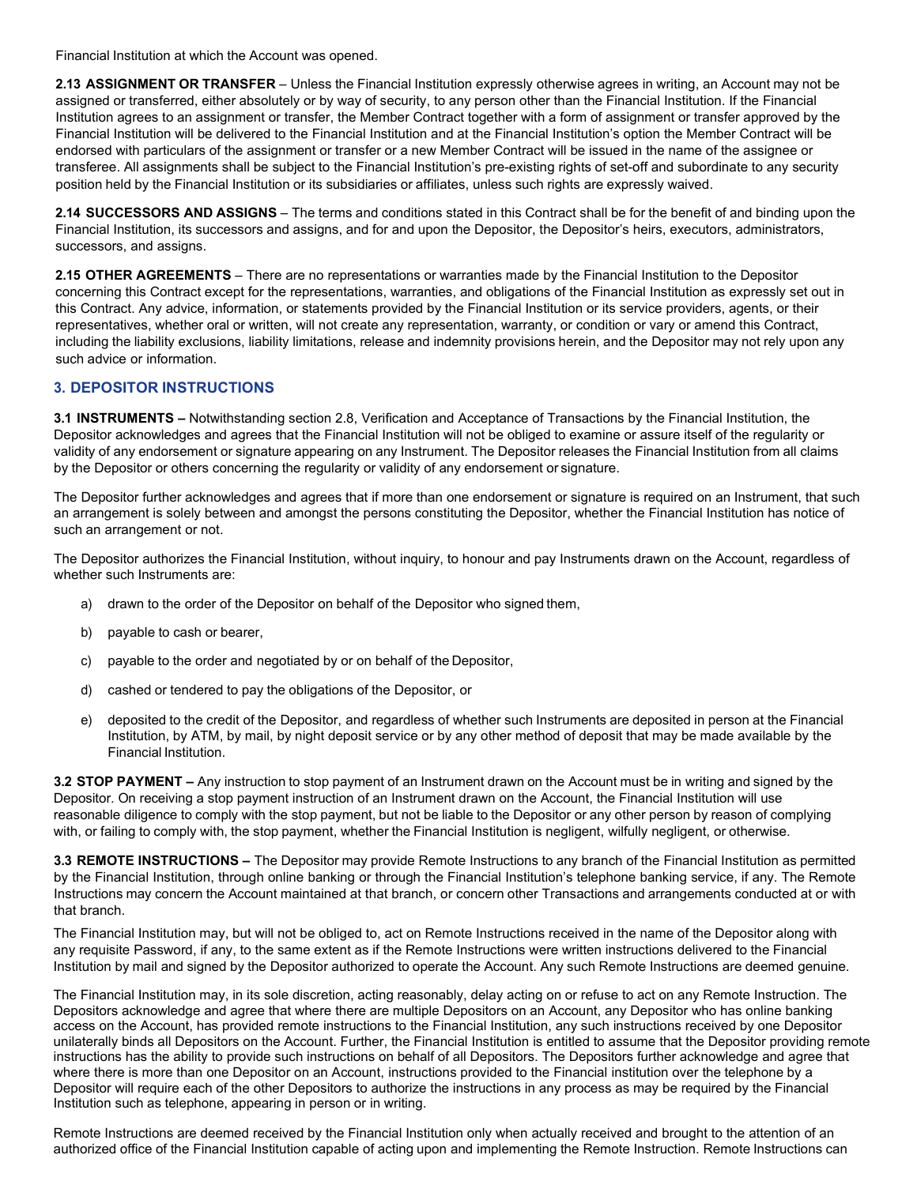Financial Institution at which the Account was opened.

**2.13 ASSIGNMENT OR TRANSFER** – Unless the Financial Institution expressly otherwise agrees in writing, an Account may not be assigned or transferred, either absolutely or by way of security, to any person other than the Financial Institution. If the Financial Institution agrees to an assignment or transfer, the Member Contract together with a form of assignment or transfer approved by the Financial Institution will be delivered to the Financial Institution and at the Financial Institution's option the Member Contract will be endorsed with particulars of the assignment or transfer or a new Member Contract will be issued in the name of the assignee or transferee. All assignments shall be subject to the Financial Institution's pre-existing rights of set-off and subordinate to any security position held by the Financial Institution or its subsidiaries or affiliates, unless such rights are expressly waived.

**2.14 SUCCESSORS AND ASSIGNS** – The terms and conditions stated in this Contract shall be for the benefit of and binding upon the Financial Institution, its successors and assigns, and for and upon the Depositor, the Depositor's heirs, executors, administrators, successors, and assigns.

**2.15 OTHER AGREEMENTS** – There are no representations or warranties made by the Financial Institution to the Depositor concerning this Contract except for the representations, warranties, and obligations of the Financial Institution as expressly set out in this Contract. Any advice, information, or statements provided by the Financial Institution or its service providers, agents, or their representatives, whether oral or written, will not create any representation, warranty, or condition or vary or amend this Contract, including the liability exclusions, liability limitations, release and indemnity provisions herein, and the Depositor may not rely upon any such advice or information.

# **3. DEPOSITOR INSTRUCTIONS**

**3.1 INSTRUMENTS –** Notwithstanding section 2.8, Verification and Acceptance of Transactions by the Financial Institution, the Depositor acknowledges and agrees that the Financial Institution will not be obliged to examine or assure itself of the regularity or validity of any endorsement or signature appearing on any Instrument. The Depositor releases the Financial Institution from all claims by the Depositor or others concerning the regularity or validity of any endorsement or signature.

The Depositor further acknowledges and agrees that if more than one endorsement or signature is required on an Instrument, that such an arrangement is solely between and amongst the persons constituting the Depositor, whether the Financial Institution has notice of such an arrangement or not.

The Depositor authorizes the Financial Institution, without inquiry, to honour and pay Instruments drawn on the Account, regardless of whether such Instruments are:

- a) drawn to the order of the Depositor on behalf of the Depositor who signed them,
- b) payable to cash or bearer,
- c) payable to the order and negotiated by or on behalf of the Depositor,
- d) cashed or tendered to pay the obligations of the Depositor, or
- e) deposited to the credit of the Depositor, and regardless of whether such Instruments are deposited in person at the Financial Institution, by ATM, by mail, by night deposit service or by any other method of deposit that may be made available by the Financial Institution.

**3.2 STOP PAYMENT –** Any instruction to stop payment of an Instrument drawn on the Account must be in writing and signed by the Depositor. On receiving a stop payment instruction of an Instrument drawn on the Account, the Financial Institution will use reasonable diligence to comply with the stop payment, but not be liable to the Depositor or any other person by reason of complying with, or failing to comply with, the stop payment, whether the Financial Institution is negligent, wilfully negligent, or otherwise.

**3.3 REMOTE INSTRUCTIONS –** The Depositor may provide Remote Instructions to any branch of the Financial Institution as permitted by the Financial Institution, through online banking or through the Financial Institution's telephone banking service, if any. The Remote Instructions may concern the Account maintained at that branch, or concern other Transactions and arrangements conducted at or with that branch.

The Financial Institution may, but will not be obliged to, act on Remote Instructions received in the name of the Depositor along with any requisite Password, if any, to the same extent as if the Remote Instructions were written instructions delivered to the Financial Institution by mail and signed by the Depositor authorized to operate the Account. Any such Remote Instructions are deemed genuine.

The Financial Institution may, in its sole discretion, acting reasonably, delay acting on or refuse to act on any Remote Instruction. The Depositors acknowledge and agree that where there are multiple Depositors on an Account, any Depositor who has online banking access on the Account, has provided remote instructions to the Financial Institution, any such instructions received by one Depositor unilaterally binds all Depositors on the Account. Further, the Financial Institution is entitled to assume that the Depositor providing remote instructions has the ability to provide such instructions on behalf of all Depositors. The Depositors further acknowledge and agree that where there is more than one Depositor on an Account, instructions provided to the Financial institution over the telephone by a Depositor will require each of the other Depositors to authorize the instructions in any process as may be required by the Financial Institution such as telephone, appearing in person or in writing.

Remote Instructions are deemed received by the Financial Institution only when actually received and brought to the attention of an authorized office of the Financial Institution capable of acting upon and implementing the Remote Instruction. Remote Instructions can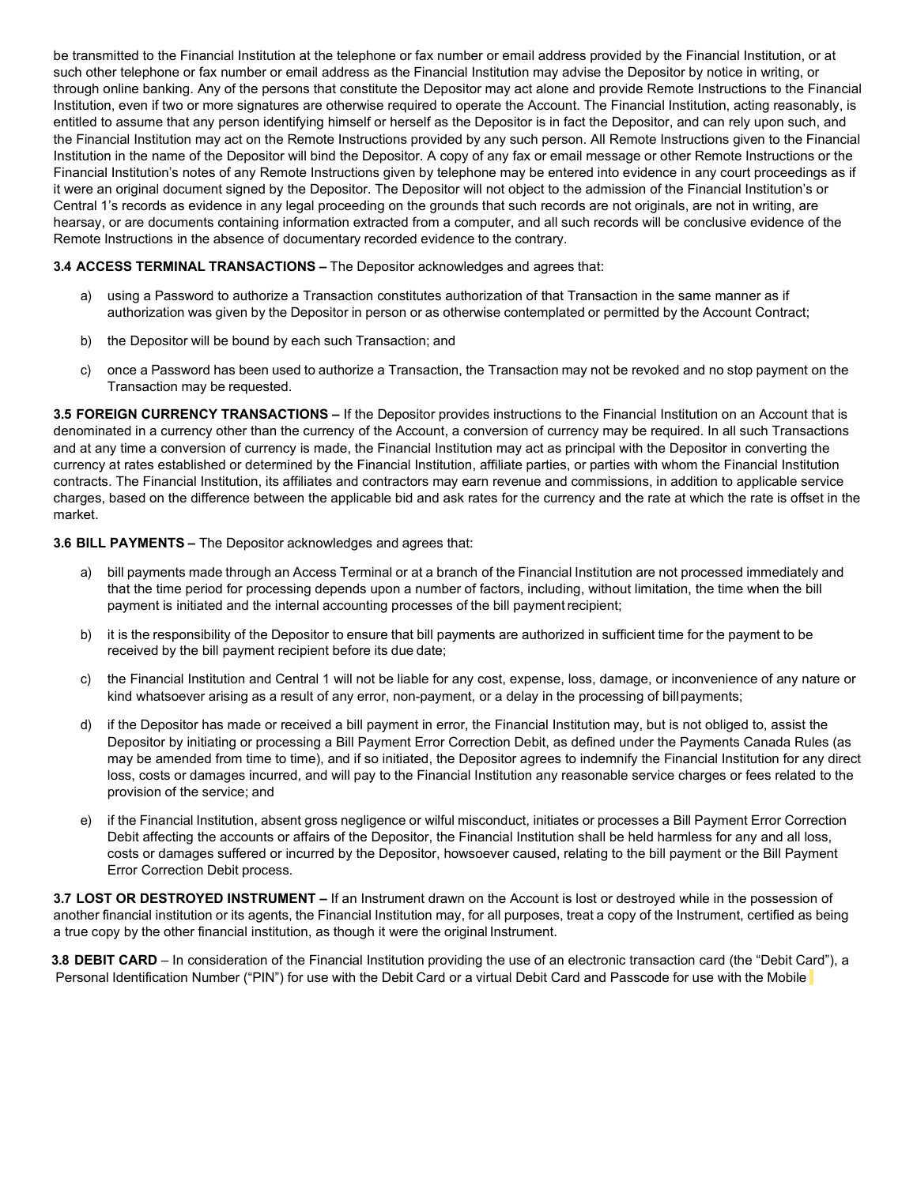be transmitted to the Financial Institution at the telephone or fax number or email address provided by the Financial Institution, or at such other telephone or fax number or email address as the Financial Institution may advise the Depositor by notice in writing, or through online banking. Any of the persons that constitute the Depositor may act alone and provide Remote Instructions to the Financial Institution, even if two or more signatures are otherwise required to operate the Account. The Financial Institution, acting reasonably, is entitled to assume that any person identifying himself or herself as the Depositor is in fact the Depositor, and can rely upon such, and the Financial Institution may act on the Remote Instructions provided by any such person. All Remote Instructions given to the Financial Institution in the name of the Depositor will bind the Depositor. A copy of any fax or email message or other Remote Instructions or the Financial Institution's notes of any Remote Instructions given by telephone may be entered into evidence in any court proceedings as if it were an original document signed by the Depositor. The Depositor will not object to the admission of the Financial Institution's or Central 1's records as evidence in any legal proceeding on the grounds that such records are not originals, are not in writing, are hearsay, or are documents containing information extracted from a computer, and all such records will be conclusive evidence of the Remote Instructions in the absence of documentary recorded evidence to the contrary.

## **3.4 ACCESS TERMINAL TRANSACTIONS –** The Depositor acknowledges and agrees that:

- a) using a Password to authorize a Transaction constitutes authorization of that Transaction in the same manner as if authorization was given by the Depositor in person or as otherwise contemplated or permitted by the Account Contract;
- b) the Depositor will be bound by each such Transaction; and
- c) once a Password has been used to authorize a Transaction, the Transaction may not be revoked and no stop payment on the Transaction may be requested.

**3.5 FOREIGN CURRENCY TRANSACTIONS –** If the Depositor provides instructions to the Financial Institution on an Account that is denominated in a currency other than the currency of the Account, a conversion of currency may be required. In all such Transactions and at any time a conversion of currency is made, the Financial Institution may act as principal with the Depositor in converting the currency at rates established or determined by the Financial Institution, affiliate parties, or parties with whom the Financial Institution contracts. The Financial Institution, its affiliates and contractors may earn revenue and commissions, in addition to applicable service charges, based on the difference between the applicable bid and ask rates for the currency and the rate at which the rate is offset in the market.

## **3.6 BILL PAYMENTS –** The Depositor acknowledges and agrees that:

- a) bill payments made through an Access Terminal or at a branch of the Financial Institution are not processed immediately and that the time period for processing depends upon a number of factors, including, without limitation, the time when the bill payment is initiated and the internal accounting processes of the bill paymentrecipient;
- b) it is the responsibility of the Depositor to ensure that bill payments are authorized in sufficient time for the payment to be received by the bill payment recipient before its due date;
- c) the Financial Institution and Central 1 will not be liable for any cost, expense, loss, damage, or inconvenience of any nature or kind whatsoever arising as a result of any error, non-payment, or a delay in the processing of billpayments;
- d) if the Depositor has made or received a bill payment in error, the Financial Institution may, but is not obliged to, assist the Depositor by initiating or processing a Bill Payment Error Correction Debit, as defined under the Payments Canada Rules (as may be amended from time to time), and if so initiated, the Depositor agrees to indemnify the Financial Institution for any direct loss, costs or damages incurred, and will pay to the Financial Institution any reasonable service charges or fees related to the provision of the service; and
- e) if the Financial Institution, absent gross negligence or wilful misconduct, initiates or processes a Bill Payment Error Correction Debit affecting the accounts or affairs of the Depositor, the Financial Institution shall be held harmless for any and all loss, costs or damages suffered or incurred by the Depositor, howsoever caused, relating to the bill payment or the Bill Payment Error Correction Debit process.

**3.7 LOST OR DESTROYED INSTRUMENT –** If an Instrument drawn on the Account is lost or destroyed while in the possession of another financial institution or its agents, the Financial Institution may, for all purposes, treat a copy of the Instrument, certified as being a true copy by the other financial institution, as though it were the original Instrument.

**3.8 DEBIT CARD** – In consideration of the Financial Institution providing the use of an electronic transaction card (the "Debit Card"), a Personal Identification Number ("PIN") for use with the Debit Card or a virtual Debit Card and Passcode for use with the Mobile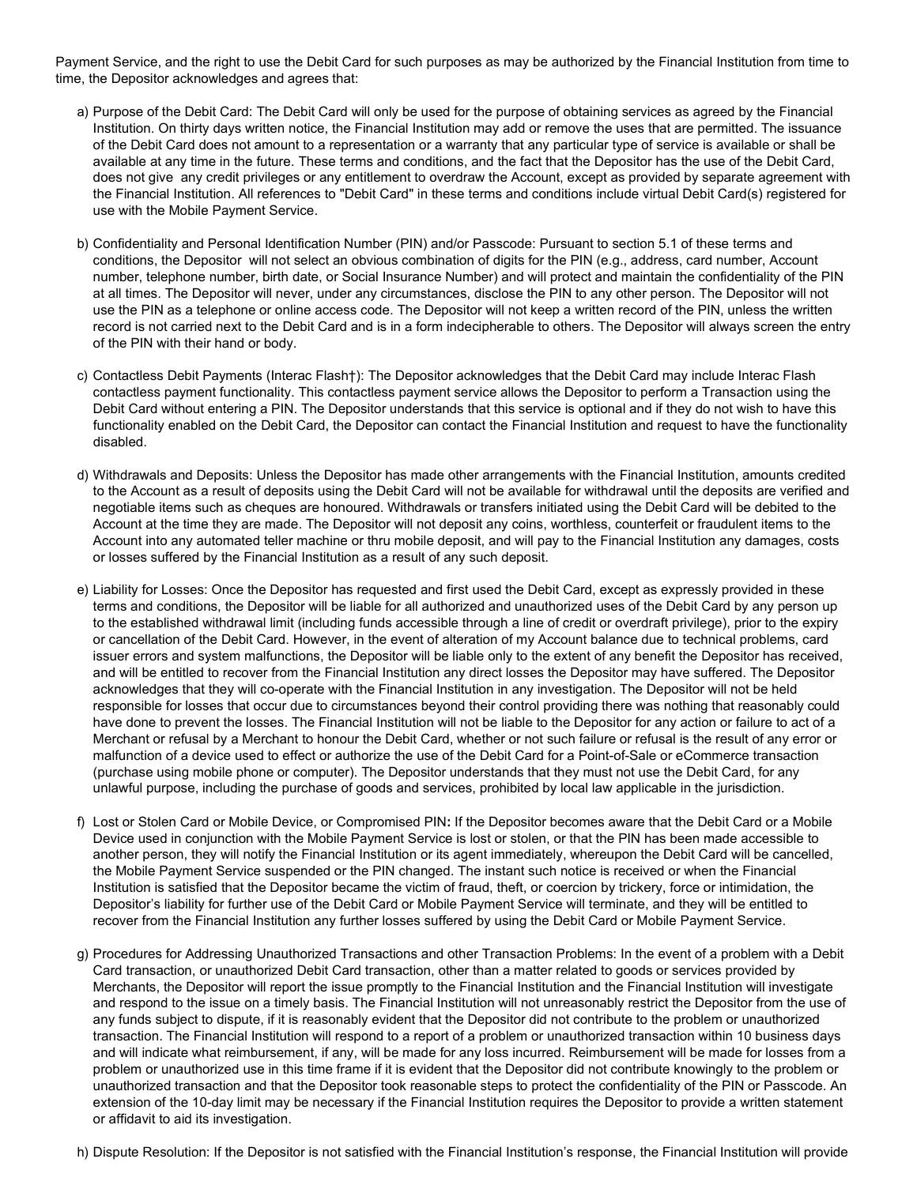Payment Service, and the right to use the Debit Card for such purposes as may be authorized by the Financial Institution from time to time, the Depositor acknowledges and agrees that:

- a) Purpose of the Debit Card: The Debit Card will only be used for the purpose of obtaining services as agreed by the Financial Institution. On thirty days written notice, the Financial Institution may add or remove the uses that are permitted. The issuance of the Debit Card does not amount to a representation or a warranty that any particular type of service is available or shall be available at any time in the future. These terms and conditions, and the fact that the Depositor has the use of the Debit Card, does not give any credit privileges or any entitlement to overdraw the Account, except as provided by separate agreement with the Financial Institution. All references to "Debit Card" in these terms and conditions include virtual Debit Card(s) registered for use with the Mobile Payment Service.
- b) Confidentiality and Personal Identification Number (PIN) and/or Passcode: Pursuant to section 5.1 of these terms and conditions, the Depositor will not select an obvious combination of digits for the PIN (e.g., address, card number, Account number, telephone number, birth date, or Social Insurance Number) and will protect and maintain the confidentiality of the PIN at all times. The Depositor will never, under any circumstances, disclose the PIN to any other person. The Depositor will not use the PIN as a telephone or online access code. The Depositor will not keep a written record of the PIN, unless the written record is not carried next to the Debit Card and is in a form indecipherable to others. The Depositor will always screen the entry of the PIN with their hand or body.
- c) Contactless Debit Payments (Interac Flash†): The Depositor acknowledges that the Debit Card may include Interac Flash contactless payment functionality. This contactless payment service allows the Depositor to perform a Transaction using the Debit Card without entering a PIN. The Depositor understands that this service is optional and if they do not wish to have this functionality enabled on the Debit Card, the Depositor can contact the Financial Institution and request to have the functionality disabled.
- d) Withdrawals and Deposits: Unless the Depositor has made other arrangements with the Financial Institution, amounts credited to the Account as a result of deposits using the Debit Card will not be available for withdrawal until the deposits are verified and negotiable items such as cheques are honoured. Withdrawals or transfers initiated using the Debit Card will be debited to the Account at the time they are made. The Depositor will not deposit any coins, worthless, counterfeit or fraudulent items to the Account into any automated teller machine or thru mobile deposit, and will pay to the Financial Institution any damages, costs or losses suffered by the Financial Institution as a result of any such deposit.
- e) Liability for Losses: Once the Depositor has requested and first used the Debit Card, except as expressly provided in these terms and conditions, the Depositor will be liable for all authorized and unauthorized uses of the Debit Card by any person up to the established withdrawal limit (including funds accessible through a line of credit or overdraft privilege), prior to the expiry or cancellation of the Debit Card. However, in the event of alteration of my Account balance due to technical problems, card issuer errors and system malfunctions, the Depositor will be liable only to the extent of any benefit the Depositor has received, and will be entitled to recover from the Financial Institution any direct losses the Depositor may have suffered. The Depositor acknowledges that they will co-operate with the Financial Institution in any investigation. The Depositor will not be held responsible for losses that occur due to circumstances beyond their control providing there was nothing that reasonably could have done to prevent the losses. The Financial Institution will not be liable to the Depositor for any action or failure to act of a Merchant or refusal by a Merchant to honour the Debit Card, whether or not such failure or refusal is the result of any error or malfunction of a device used to effect or authorize the use of the Debit Card for a Point-of-Sale or eCommerce transaction (purchase using mobile phone or computer). The Depositor understands that they must not use the Debit Card, for any unlawful purpose, including the purchase of goods and services, prohibited by local law applicable in the jurisdiction.
- f) Lost or Stolen Card or Mobile Device, or Compromised PIN**:** If the Depositor becomes aware that the Debit Card or a Mobile Device used in conjunction with the Mobile Payment Service is lost or stolen, or that the PIN has been made accessible to another person, they will notify the Financial Institution or its agent immediately, whereupon the Debit Card will be cancelled, the Mobile Payment Service suspended or the PIN changed. The instant such notice is received or when the Financial Institution is satisfied that the Depositor became the victim of fraud, theft, or coercion by trickery, force or intimidation, the Depositor's liability for further use of the Debit Card or Mobile Payment Service will terminate, and they will be entitled to recover from the Financial Institution any further losses suffered by using the Debit Card or Mobile Payment Service.
- g) Procedures for Addressing Unauthorized Transactions and other Transaction Problems: In the event of a problem with a Debit Card transaction, or unauthorized Debit Card transaction, other than a matter related to goods or services provided by Merchants, the Depositor will report the issue promptly to the Financial Institution and the Financial Institution will investigate and respond to the issue on a timely basis. The Financial Institution will not unreasonably restrict the Depositor from the use of any funds subject to dispute, if it is reasonably evident that the Depositor did not contribute to the problem or unauthorized transaction. The Financial Institution will respond to a report of a problem or unauthorized transaction within 10 business days and will indicate what reimbursement, if any, will be made for any loss incurred. Reimbursement will be made for losses from a problem or unauthorized use in this time frame if it is evident that the Depositor did not contribute knowingly to the problem or unauthorized transaction and that the Depositor took reasonable steps to protect the confidentiality of the PIN or Passcode. An extension of the 10-day limit may be necessary if the Financial Institution requires the Depositor to provide a written statement or affidavit to aid its investigation.

h) Dispute Resolution: If the Depositor is not satisfied with the Financial Institution's response, the Financial Institution will provide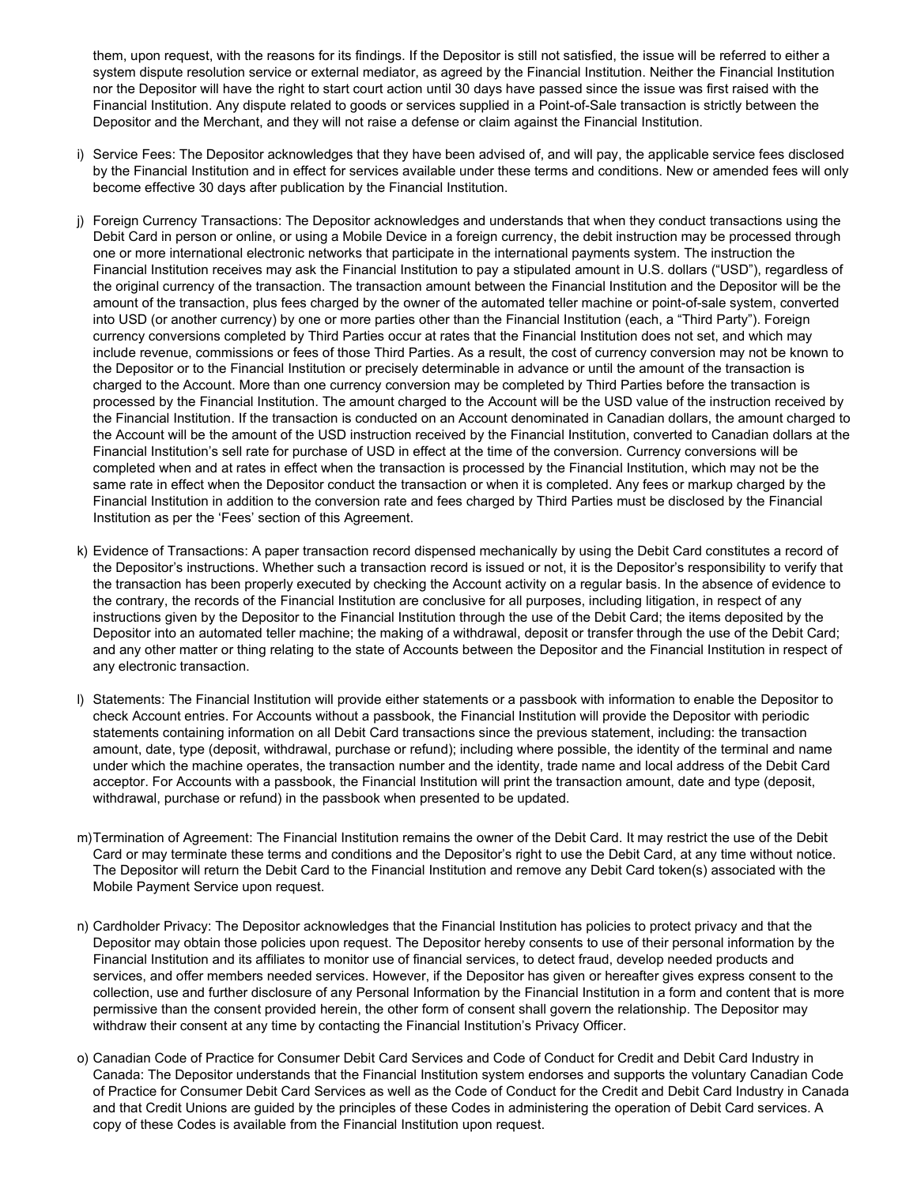them, upon request, with the reasons for its findings. If the Depositor is still not satisfied, the issue will be referred to either a system dispute resolution service or external mediator, as agreed by the Financial Institution. Neither the Financial Institution nor the Depositor will have the right to start court action until 30 days have passed since the issue was first raised with the Financial Institution. Any dispute related to goods or services supplied in a Point-of-Sale transaction is strictly between the Depositor and the Merchant, and they will not raise a defense or claim against the Financial Institution.

- i) Service Fees: The Depositor acknowledges that they have been advised of, and will pay, the applicable service fees disclosed by the Financial Institution and in effect for services available under these terms and conditions. New or amended fees will only become effective 30 days after publication by the Financial Institution.
- j) Foreign Currency Transactions: The Depositor acknowledges and understands that when they conduct transactions using the Debit Card in person or online, or using a Mobile Device in a foreign currency, the debit instruction may be processed through one or more international electronic networks that participate in the international payments system. The instruction the Financial Institution receives may ask the Financial Institution to pay a stipulated amount in U.S. dollars ("USD"), regardless of the original currency of the transaction. The transaction amount between the Financial Institution and the Depositor will be the amount of the transaction, plus fees charged by the owner of the automated teller machine or point-of-sale system, converted into USD (or another currency) by one or more parties other than the Financial Institution (each, a "Third Party"). Foreign currency conversions completed by Third Parties occur at rates that the Financial Institution does not set, and which may include revenue, commissions or fees of those Third Parties. As a result, the cost of currency conversion may not be known to the Depositor or to the Financial Institution or precisely determinable in advance or until the amount of the transaction is charged to the Account. More than one currency conversion may be completed by Third Parties before the transaction is processed by the Financial Institution. The amount charged to the Account will be the USD value of the instruction received by the Financial Institution. If the transaction is conducted on an Account denominated in Canadian dollars, the amount charged to the Account will be the amount of the USD instruction received by the Financial Institution, converted to Canadian dollars at the Financial Institution's sell rate for purchase of USD in effect at the time of the conversion. Currency conversions will be completed when and at rates in effect when the transaction is processed by the Financial Institution, which may not be the same rate in effect when the Depositor conduct the transaction or when it is completed. Any fees or markup charged by the Financial Institution in addition to the conversion rate and fees charged by Third Parties must be disclosed by the Financial Institution as per the 'Fees' section of this Agreement.
- k) Evidence of Transactions: A paper transaction record dispensed mechanically by using the Debit Card constitutes a record of the Depositor's instructions. Whether such a transaction record is issued or not, it is the Depositor's responsibility to verify that the transaction has been properly executed by checking the Account activity on a regular basis. In the absence of evidence to the contrary, the records of the Financial Institution are conclusive for all purposes, including litigation, in respect of any instructions given by the Depositor to the Financial Institution through the use of the Debit Card; the items deposited by the Depositor into an automated teller machine; the making of a withdrawal, deposit or transfer through the use of the Debit Card; and any other matter or thing relating to the state of Accounts between the Depositor and the Financial Institution in respect of any electronic transaction.
- l) Statements: The Financial Institution will provide either statements or a passbook with information to enable the Depositor to check Account entries. For Accounts without a passbook, the Financial Institution will provide the Depositor with periodic statements containing information on all Debit Card transactions since the previous statement, including: the transaction amount, date, type (deposit, withdrawal, purchase or refund); including where possible, the identity of the terminal and name under which the machine operates, the transaction number and the identity, trade name and local address of the Debit Card acceptor. For Accounts with a passbook, the Financial Institution will print the transaction amount, date and type (deposit, withdrawal, purchase or refund) in the passbook when presented to be updated.
- m)Termination of Agreement: The Financial Institution remains the owner of the Debit Card. It may restrict the use of the Debit Card or may terminate these terms and conditions and the Depositor's right to use the Debit Card, at any time without notice. The Depositor will return the Debit Card to the Financial Institution and remove any Debit Card token(s) associated with the Mobile Payment Service upon request.
- n) Cardholder Privacy: The Depositor acknowledges that the Financial Institution has policies to protect privacy and that the Depositor may obtain those policies upon request. The Depositor hereby consents to use of their personal information by the Financial Institution and its affiliates to monitor use of financial services, to detect fraud, develop needed products and services, and offer members needed services. However, if the Depositor has given or hereafter gives express consent to the collection, use and further disclosure of any Personal Information by the Financial Institution in a form and content that is more permissive than the consent provided herein, the other form of consent shall govern the relationship. The Depositor may withdraw their consent at any time by contacting the Financial Institution's Privacy Officer.
- o) Canadian Code of Practice for Consumer Debit Card Services and Code of Conduct for Credit and Debit Card Industry in Canada: The Depositor understands that the Financial Institution system endorses and supports the voluntary Canadian Code of Practice for Consumer Debit Card Services as well as the Code of Conduct for the Credit and Debit Card Industry in Canada and that Credit Unions are guided by the principles of these Codes in administering the operation of Debit Card services. A copy of these Codes is available from the Financial Institution upon request.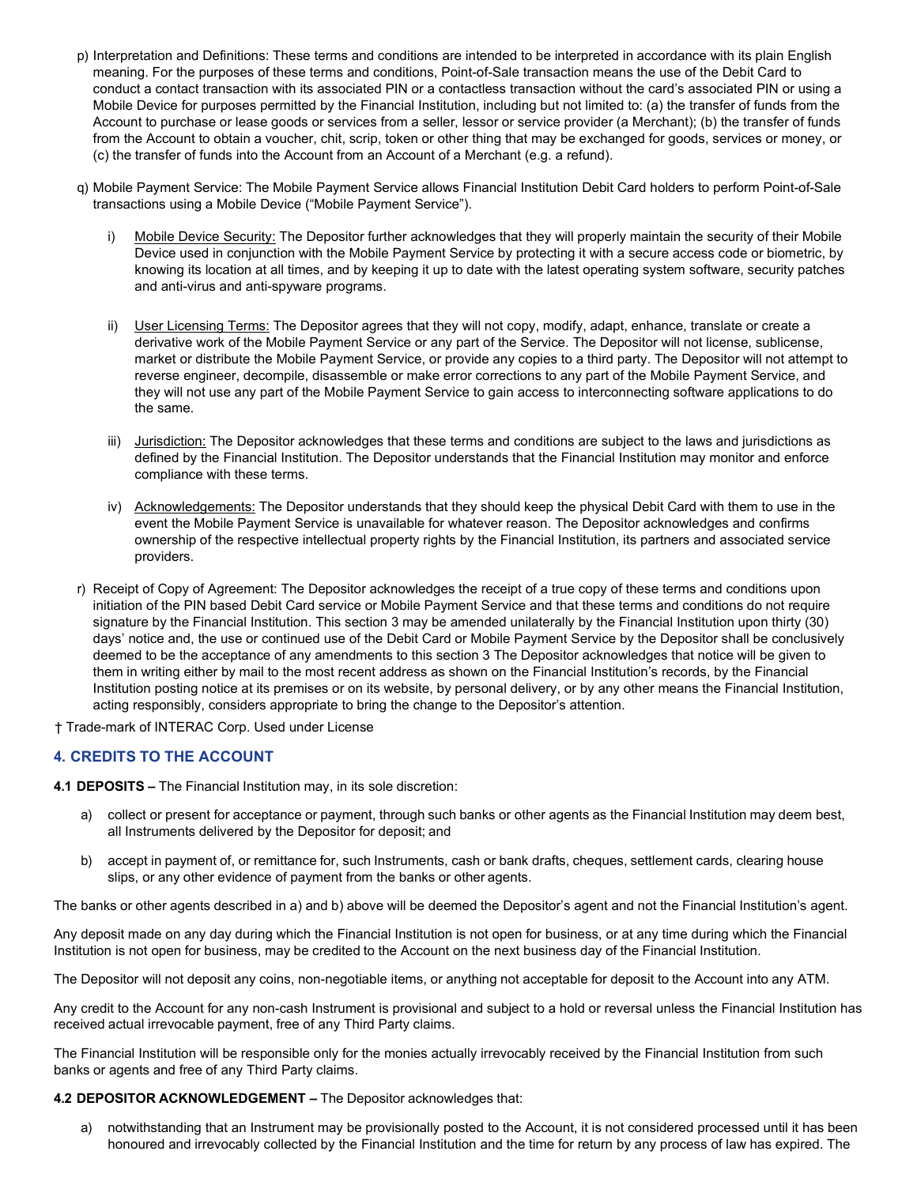- p) Interpretation and Definitions: These terms and conditions are intended to be interpreted in accordance with its plain English meaning. For the purposes of these terms and conditions, Point-of-Sale transaction means the use of the Debit Card to conduct a contact transaction with its associated PIN or a contactless transaction without the card's associated PIN or using a Mobile Device for purposes permitted by the Financial Institution, including but not limited to: (a) the transfer of funds from the Account to purchase or lease goods or services from a seller, lessor or service provider (a Merchant); (b) the transfer of funds from the Account to obtain a voucher, chit, scrip, token or other thing that may be exchanged for goods, services or money, or (c) the transfer of funds into the Account from an Account of a Merchant (e.g. a refund).
- q) Mobile Payment Service: The Mobile Payment Service allows Financial Institution Debit Card holders to perform Point-of-Sale transactions using a Mobile Device ("Mobile Payment Service").
	- i) Mobile Device Security: The Depositor further acknowledges that they will properly maintain the security of their Mobile Device used in conjunction with the Mobile Payment Service by protecting it with a secure access code or biometric, by knowing its location at all times, and by keeping it up to date with the latest operating system software, security patches and anti-virus and anti-spyware programs.
	- ii) User Licensing Terms: The Depositor agrees that they will not copy, modify, adapt, enhance, translate or create a derivative work of the Mobile Payment Service or any part of the Service. The Depositor will not license, sublicense, market or distribute the Mobile Payment Service, or provide any copies to a third party. The Depositor will not attempt to reverse engineer, decompile, disassemble or make error corrections to any part of the Mobile Payment Service, and they will not use any part of the Mobile Payment Service to gain access to interconnecting software applications to do the same.
	- iii) Jurisdiction: The Depositor acknowledges that these terms and conditions are subject to the laws and jurisdictions as defined by the Financial Institution. The Depositor understands that the Financial Institution may monitor and enforce compliance with these terms.
	- iv) Acknowledgements: The Depositor understands that they should keep the physical Debit Card with them to use in the event the Mobile Payment Service is unavailable for whatever reason. The Depositor acknowledges and confirms ownership of the respective intellectual property rights by the Financial Institution, its partners and associated service providers.
- r) Receipt of Copy of Agreement: The Depositor acknowledges the receipt of a true copy of these terms and conditions upon initiation of the PIN based Debit Card service or Mobile Payment Service and that these terms and conditions do not require signature by the Financial Institution. This section 3 may be amended unilaterally by the Financial Institution upon thirty (30) days' notice and, the use or continued use of the Debit Card or Mobile Payment Service by the Depositor shall be conclusively deemed to be the acceptance of any amendments to this section 3 The Depositor acknowledges that notice will be given to them in writing either by mail to the most recent address as shown on the Financial Institution's records, by the Financial Institution posting notice at its premises or on its website, by personal delivery, or by any other means the Financial Institution, acting responsibly, considers appropriate to bring the change to the Depositor's attention.
- † Trade-mark of INTERAC Corp. Used under License

# **4. CREDITS TO THE ACCOUNT**

**4.1 DEPOSITS –** The Financial Institution may, in its sole discretion:

- a) collect or present for acceptance or payment, through such banks or other agents as the Financial Institution may deem best, all Instruments delivered by the Depositor for deposit; and
- b) accept in payment of, or remittance for, such Instruments, cash or bank drafts, cheques, settlement cards, clearing house slips, or any other evidence of payment from the banks or other agents.

The banks or other agents described in a) and b) above will be deemed the Depositor's agent and not the Financial Institution's agent.

Any deposit made on any day during which the Financial Institution is not open for business, or at any time during which the Financial Institution is not open for business, may be credited to the Account on the next business day of the Financial Institution.

The Depositor will not deposit any coins, non-negotiable items, or anything not acceptable for deposit to the Account into any ATM.

Any credit to the Account for any non-cash Instrument is provisional and subject to a hold or reversal unless the Financial Institution has received actual irrevocable payment, free of any Third Party claims.

The Financial Institution will be responsible only for the monies actually irrevocably received by the Financial Institution from such banks or agents and free of any Third Party claims.

#### **4.2 DEPOSITOR ACKNOWLEDGEMENT –** The Depositor acknowledges that:

a) notwithstanding that an Instrument may be provisionally posted to the Account, it is not considered processed until it has been honoured and irrevocably collected by the Financial Institution and the time for return by any process of law has expired. The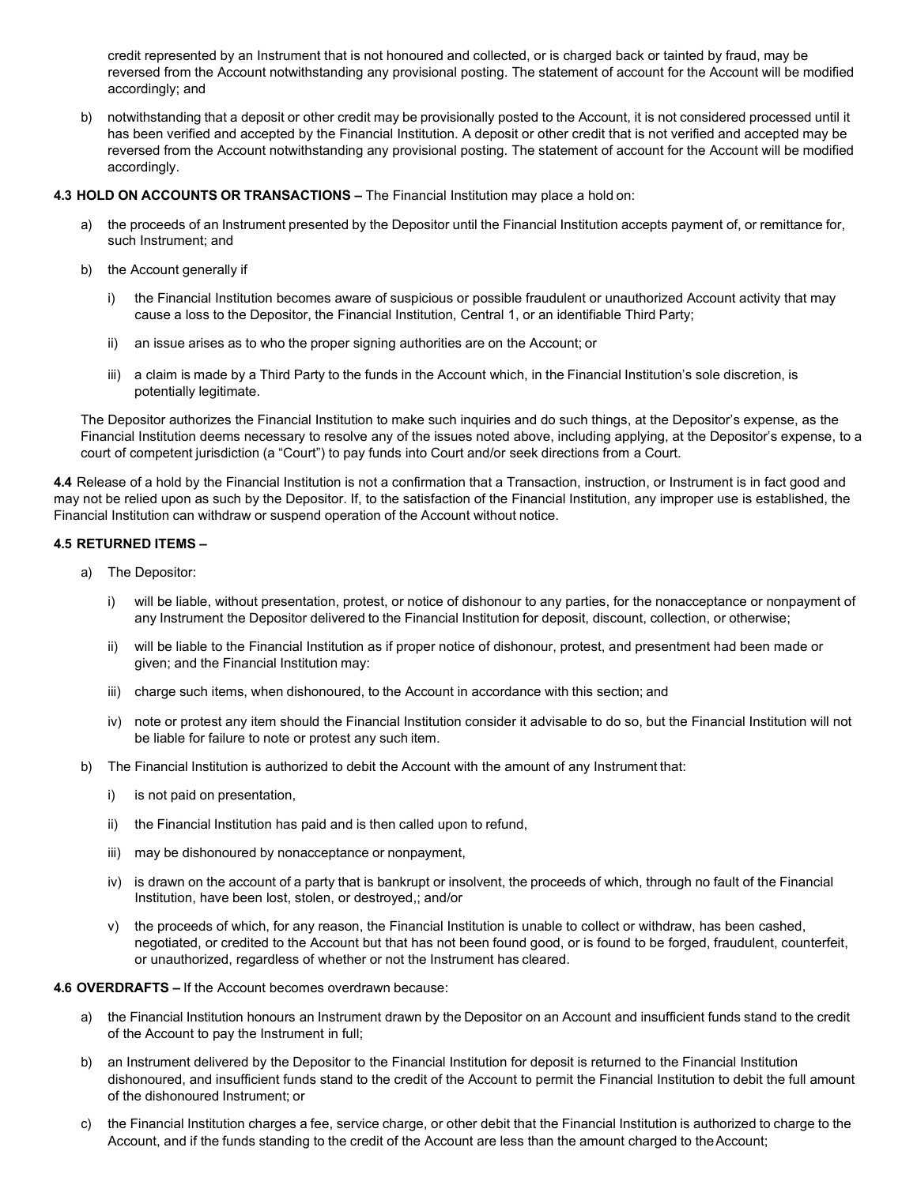credit represented by an Instrument that is not honoured and collected, or is charged back or tainted by fraud, may be reversed from the Account notwithstanding any provisional posting. The statement of account for the Account will be modified accordingly; and

b) notwithstanding that a deposit or other credit may be provisionally posted to the Account, it is not considered processed until it has been verified and accepted by the Financial Institution. A deposit or other credit that is not verified and accepted may be reversed from the Account notwithstanding any provisional posting. The statement of account for the Account will be modified accordingly.

## **4.3 HOLD ON ACCOUNTS OR TRANSACTIONS –** The Financial Institution may place a hold on:

- a) the proceeds of an Instrument presented by the Depositor until the Financial Institution accepts payment of, or remittance for, such Instrument; and
- b) the Account generally if
	- i) the Financial Institution becomes aware of suspicious or possible fraudulent or unauthorized Account activity that may cause a loss to the Depositor, the Financial Institution, Central 1, or an identifiable Third Party;
	- ii) an issue arises as to who the proper signing authorities are on the Account; or
	- iii) a claim is made by a Third Party to the funds in the Account which, in the Financial Institution's sole discretion, is potentially legitimate.

The Depositor authorizes the Financial Institution to make such inquiries and do such things, at the Depositor's expense, as the Financial Institution deems necessary to resolve any of the issues noted above, including applying, at the Depositor's expense, to a court of competent jurisdiction (a "Court") to pay funds into Court and/or seek directions from a Court.

**4.4** Release of a hold by the Financial Institution is not a confirmation that a Transaction, instruction, or Instrument is in fact good and may not be relied upon as such by the Depositor. If, to the satisfaction of the Financial Institution, any improper use is established, the Financial Institution can withdraw or suspend operation of the Account without notice.

# **4.5 RETURNED ITEMS –**

- a) The Depositor:
	- i) will be liable, without presentation, protest, or notice of dishonour to any parties, for the nonacceptance or nonpayment of any Instrument the Depositor delivered to the Financial Institution for deposit, discount, collection, or otherwise;
	- ii) will be liable to the Financial Institution as if proper notice of dishonour, protest, and presentment had been made or given; and the Financial Institution may:
	- iii) charge such items, when dishonoured, to the Account in accordance with this section; and
	- iv) note or protest any item should the Financial Institution consider it advisable to do so, but the Financial Institution will not be liable for failure to note or protest any such item.
- b) The Financial Institution is authorized to debit the Account with the amount of any Instrument that:
	- i) is not paid on presentation,
	- ii) the Financial Institution has paid and is then called upon to refund,
	- iii) may be dishonoured by nonacceptance or nonpayment,
	- iv) is drawn on the account of a party that is bankrupt or insolvent, the proceeds of which, through no fault of the Financial Institution, have been lost, stolen, or destroyed,; and/or
	- v) the proceeds of which, for any reason, the Financial Institution is unable to collect or withdraw, has been cashed, negotiated, or credited to the Account but that has not been found good, or is found to be forged, fraudulent, counterfeit, or unauthorized, regardless of whether or not the Instrument has cleared.

#### **4.6 OVERDRAFTS –** If the Account becomes overdrawn because:

- a) the Financial Institution honours an Instrument drawn by the Depositor on an Account and insufficient funds stand to the credit of the Account to pay the Instrument in full;
- b) an Instrument delivered by the Depositor to the Financial Institution for deposit is returned to the Financial Institution dishonoured, and insufficient funds stand to the credit of the Account to permit the Financial Institution to debit the full amount of the dishonoured Instrument; or
- c) the Financial Institution charges a fee, service charge, or other debit that the Financial Institution is authorized to charge to the Account, and if the funds standing to the credit of the Account are less than the amount charged to theAccount;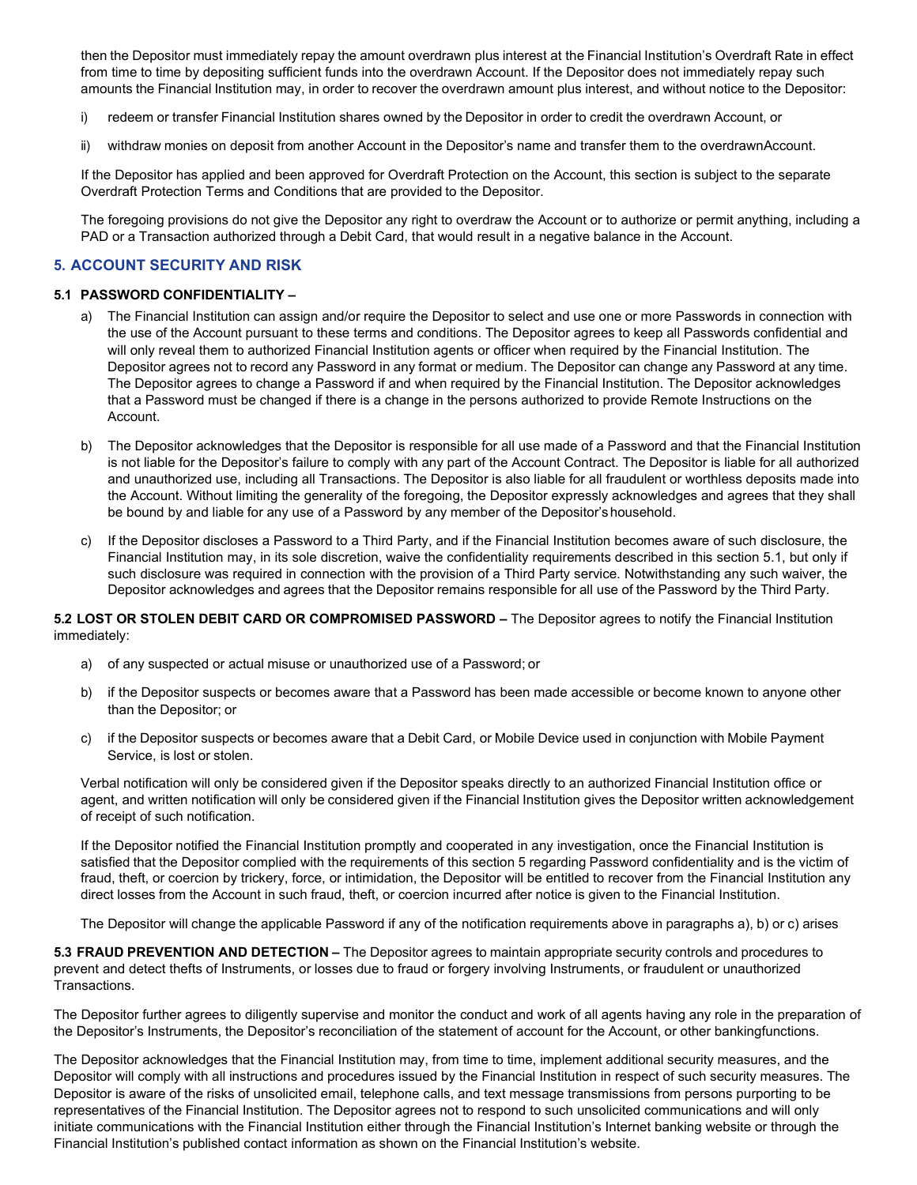then the Depositor must immediately repay the amount overdrawn plus interest at the Financial Institution's Overdraft Rate in effect from time to time by depositing sufficient funds into the overdrawn Account. If the Depositor does not immediately repay such amounts the Financial Institution may, in order to recover the overdrawn amount plus interest, and without notice to the Depositor:

- i) redeem or transfer Financial Institution shares owned by the Depositor in order to credit the overdrawn Account, or
- ii) withdraw monies on deposit from another Account in the Depositor's name and transfer them to the overdrawnAccount.

If the Depositor has applied and been approved for Overdraft Protection on the Account, this section is subject to the separate Overdraft Protection Terms and Conditions that are provided to the Depositor.

The foregoing provisions do not give the Depositor any right to overdraw the Account or to authorize or permit anything, including a PAD or a Transaction authorized through a Debit Card, that would result in a negative balance in the Account.

# **5. ACCOUNT SECURITY AND RISK**

## **5.1 PASSWORD CONFIDENTIALITY –**

- a) The Financial Institution can assign and/or require the Depositor to select and use one or more Passwords in connection with the use of the Account pursuant to these terms and conditions. The Depositor agrees to keep all Passwords confidential and will only reveal them to authorized Financial Institution agents or officer when required by the Financial Institution. The Depositor agrees not to record any Password in any format or medium. The Depositor can change any Password at any time. The Depositor agrees to change a Password if and when required by the Financial Institution. The Depositor acknowledges that a Password must be changed if there is a change in the persons authorized to provide Remote Instructions on the Account.
- b) The Depositor acknowledges that the Depositor is responsible for all use made of a Password and that the Financial Institution is not liable for the Depositor's failure to comply with any part of the Account Contract. The Depositor is liable for all authorized and unauthorized use, including all Transactions. The Depositor is also liable for all fraudulent or worthless deposits made into the Account. Without limiting the generality of the foregoing, the Depositor expressly acknowledges and agrees that they shall be bound by and liable for any use of a Password by any member of the Depositor'shousehold.
- c) If the Depositor discloses a Password to a Third Party, and if the Financial Institution becomes aware of such disclosure, the Financial Institution may, in its sole discretion, waive the confidentiality requirements described in this section 5.1, but only if such disclosure was required in connection with the provision of a Third Party service. Notwithstanding any such waiver, the Depositor acknowledges and agrees that the Depositor remains responsible for all use of the Password by the Third Party.

**5.2 LOST OR STOLEN DEBIT CARD OR COMPROMISED PASSWORD –** The Depositor agrees to notify the Financial Institution immediately:

- a) of any suspected or actual misuse or unauthorized use of a Password; or
- b) if the Depositor suspects or becomes aware that a Password has been made accessible or become known to anyone other than the Depositor; or
- c) if the Depositor suspects or becomes aware that a Debit Card, or Mobile Device used in conjunction with Mobile Payment Service, is lost or stolen.

Verbal notification will only be considered given if the Depositor speaks directly to an authorized Financial Institution office or agent, and written notification will only be considered given if the Financial Institution gives the Depositor written acknowledgement of receipt of such notification.

If the Depositor notified the Financial Institution promptly and cooperated in any investigation, once the Financial Institution is satisfied that the Depositor complied with the requirements of this section 5 regarding Password confidentiality and is the victim of fraud, theft, or coercion by trickery, force, or intimidation, the Depositor will be entitled to recover from the Financial Institution any direct losses from the Account in such fraud, theft, or coercion incurred after notice is given to the Financial Institution.

The Depositor will change the applicable Password if any of the notification requirements above in paragraphs a), b) or c) arises

**5.3 FRAUD PREVENTION AND DETECTION –** The Depositor agrees to maintain appropriate security controls and procedures to prevent and detect thefts of Instruments, or losses due to fraud or forgery involving Instruments, or fraudulent or unauthorized Transactions.

The Depositor further agrees to diligently supervise and monitor the conduct and work of all agents having any role in the preparation of the Depositor's Instruments, the Depositor's reconciliation of the statement of account for the Account, or other bankingfunctions.

The Depositor acknowledges that the Financial Institution may, from time to time, implement additional security measures, and the Depositor will comply with all instructions and procedures issued by the Financial Institution in respect of such security measures. The Depositor is aware of the risks of unsolicited email, telephone calls, and text message transmissions from persons purporting to be representatives of the Financial Institution. The Depositor agrees not to respond to such unsolicited communications and will only initiate communications with the Financial Institution either through the Financial Institution's Internet banking website or through the Financial Institution's published contact information as shown on the Financial Institution's website.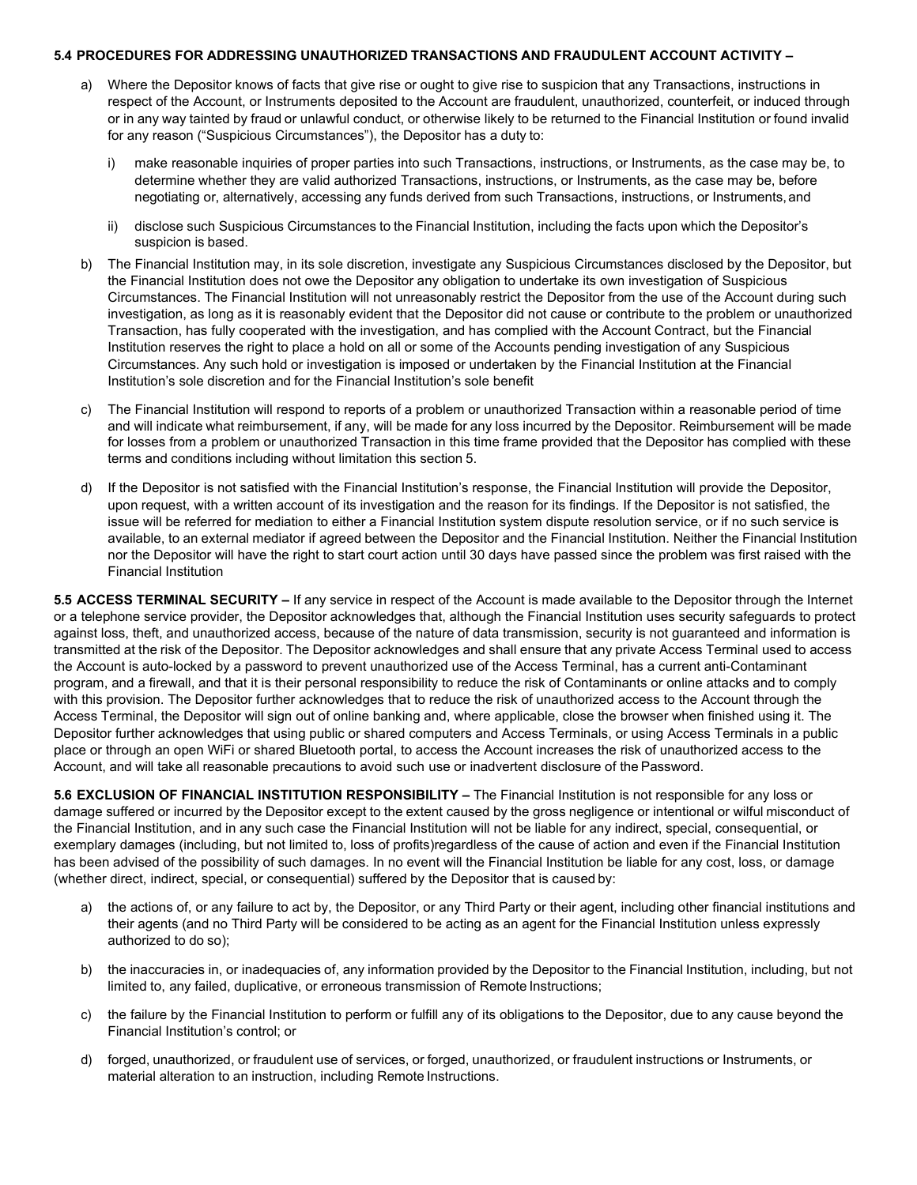#### **5.4 PROCEDURES FOR ADDRESSING UNAUTHORIZED TRANSACTIONS AND FRAUDULENT ACCOUNT ACTIVITY –**

- a) Where the Depositor knows of facts that give rise or ought to give rise to suspicion that any Transactions, instructions in respect of the Account, or Instruments deposited to the Account are fraudulent, unauthorized, counterfeit, or induced through or in any way tainted by fraud or unlawful conduct, or otherwise likely to be returned to the Financial Institution or found invalid for any reason ("Suspicious Circumstances"), the Depositor has a duty to:
	- i) make reasonable inquiries of proper parties into such Transactions, instructions, or Instruments, as the case may be, to determine whether they are valid authorized Transactions, instructions, or Instruments, as the case may be, before negotiating or, alternatively, accessing any funds derived from such Transactions, instructions, or Instruments,and
	- ii) disclose such Suspicious Circumstances to the Financial Institution, including the facts upon which the Depositor's suspicion is based.
- The Financial Institution may, in its sole discretion, investigate any Suspicious Circumstances disclosed by the Depositor, but the Financial Institution does not owe the Depositor any obligation to undertake its own investigation of Suspicious Circumstances. The Financial Institution will not unreasonably restrict the Depositor from the use of the Account during such investigation, as long as it is reasonably evident that the Depositor did not cause or contribute to the problem or unauthorized Transaction, has fully cooperated with the investigation, and has complied with the Account Contract, but the Financial Institution reserves the right to place a hold on all or some of the Accounts pending investigation of any Suspicious Circumstances. Any such hold or investigation is imposed or undertaken by the Financial Institution at the Financial Institution's sole discretion and for the Financial Institution's sole benefit
- c) The Financial Institution will respond to reports of a problem or unauthorized Transaction within a reasonable period of time and will indicate what reimbursement, if any, will be made for any loss incurred by the Depositor. Reimbursement will be made for losses from a problem or unauthorized Transaction in this time frame provided that the Depositor has complied with these terms and conditions including without limitation this section 5.
- d) If the Depositor is not satisfied with the Financial Institution's response, the Financial Institution will provide the Depositor, upon request, with a written account of its investigation and the reason for its findings. If the Depositor is not satisfied, the issue will be referred for mediation to either a Financial Institution system dispute resolution service, or if no such service is available, to an external mediator if agreed between the Depositor and the Financial Institution. Neither the Financial Institution nor the Depositor will have the right to start court action until 30 days have passed since the problem was first raised with the Financial Institution

**5.5 ACCESS TERMINAL SECURITY –** If any service in respect of the Account is made available to the Depositor through the Internet or a telephone service provider, the Depositor acknowledges that, although the Financial Institution uses security safeguards to protect against loss, theft, and unauthorized access, because of the nature of data transmission, security is not guaranteed and information is transmitted at the risk of the Depositor. The Depositor acknowledges and shall ensure that any private Access Terminal used to access the Account is auto-locked by a password to prevent unauthorized use of the Access Terminal, has a current anti-Contaminant program, and a firewall, and that it is their personal responsibility to reduce the risk of Contaminants or online attacks and to comply with this provision. The Depositor further acknowledges that to reduce the risk of unauthorized access to the Account through the Access Terminal, the Depositor will sign out of online banking and, where applicable, close the browser when finished using it. The Depositor further acknowledges that using public or shared computers and Access Terminals, or using Access Terminals in a public place or through an open WiFi or shared Bluetooth portal, to access the Account increases the risk of unauthorized access to the Account, and will take all reasonable precautions to avoid such use or inadvertent disclosure of the Password.

**5.6 EXCLUSION OF FINANCIAL INSTITUTION RESPONSIBILITY –** The Financial Institution is not responsible for any loss or damage suffered or incurred by the Depositor except to the extent caused by the gross negligence or intentional or wilful misconduct of the Financial Institution, and in any such case the Financial Institution will not be liable for any indirect, special, consequential, or exemplary damages (including, but not limited to, loss of profits)regardless of the cause of action and even if the Financial Institution has been advised of the possibility of such damages. In no event will the Financial Institution be liable for any cost, loss, or damage (whether direct, indirect, special, or consequential) suffered by the Depositor that is caused by:

- a) the actions of, or any failure to act by, the Depositor, or any Third Party or their agent, including other financial institutions and their agents (and no Third Party will be considered to be acting as an agent for the Financial Institution unless expressly authorized to do so);
- b) the inaccuracies in, or inadequacies of, any information provided by the Depositor to the Financial Institution, including, but not limited to, any failed, duplicative, or erroneous transmission of Remote Instructions;
- c) the failure by the Financial Institution to perform or fulfill any of its obligations to the Depositor, due to any cause beyond the Financial Institution's control; or
- d) forged, unauthorized, or fraudulent use of services, or forged, unauthorized, or fraudulent instructions or Instruments, or material alteration to an instruction, including Remote Instructions.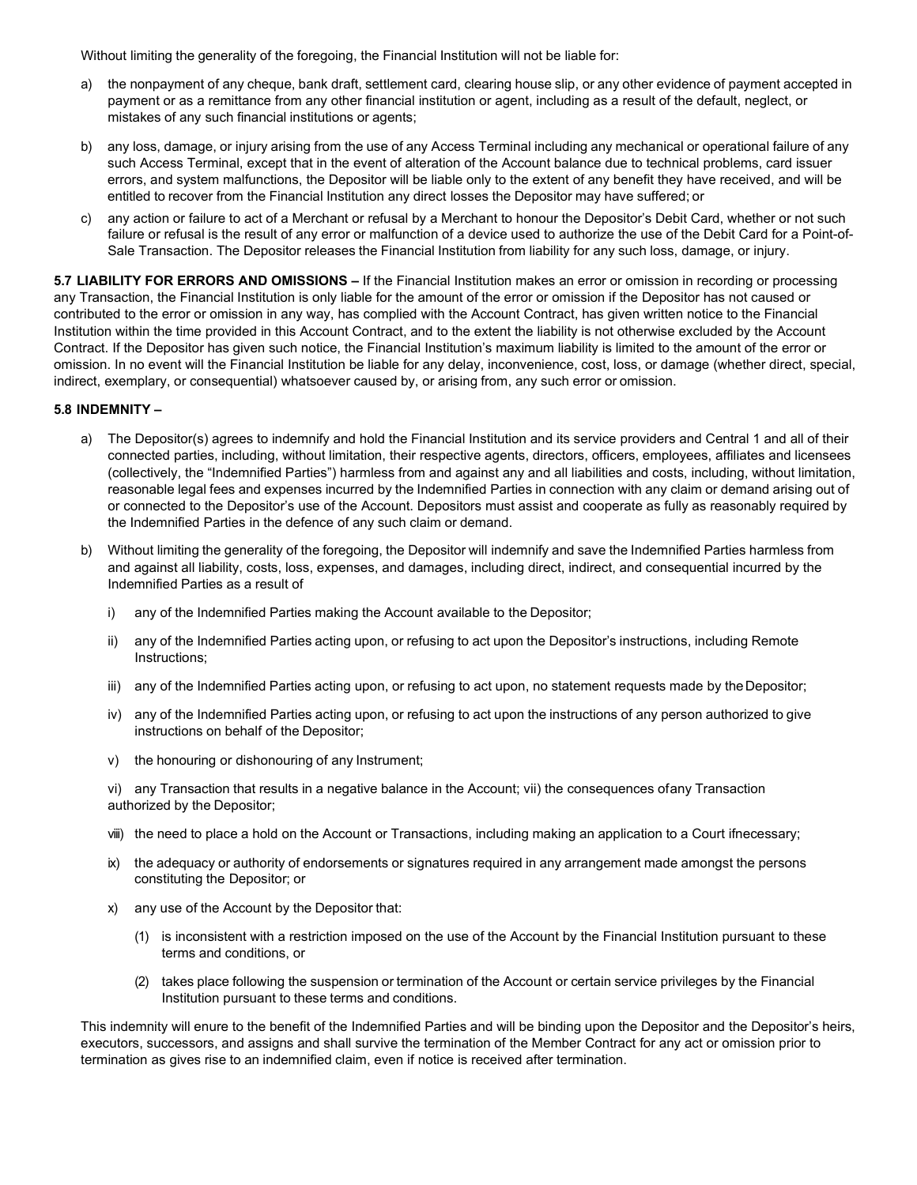Without limiting the generality of the foregoing, the Financial Institution will not be liable for:

- a) the nonpayment of any cheque, bank draft, settlement card, clearing house slip, or any other evidence of payment accepted in payment or as a remittance from any other financial institution or agent, including as a result of the default, neglect, or mistakes of any such financial institutions or agents;
- b) any loss, damage, or injury arising from the use of any Access Terminal including any mechanical or operational failure of any such Access Terminal, except that in the event of alteration of the Account balance due to technical problems, card issuer errors, and system malfunctions, the Depositor will be liable only to the extent of any benefit they have received, and will be entitled to recover from the Financial Institution any direct losses the Depositor may have suffered; or
- c) any action or failure to act of a Merchant or refusal by a Merchant to honour the Depositor's Debit Card, whether or not such failure or refusal is the result of any error or malfunction of a device used to authorize the use of the Debit Card for a Point-of-Sale Transaction. The Depositor releases the Financial Institution from liability for any such loss, damage, or injury.

**5.7 LIABILITY FOR ERRORS AND OMISSIONS –** If the Financial Institution makes an error or omission in recording or processing any Transaction, the Financial Institution is only liable for the amount of the error or omission if the Depositor has not caused or contributed to the error or omission in any way, has complied with the Account Contract, has given written notice to the Financial Institution within the time provided in this Account Contract, and to the extent the liability is not otherwise excluded by the Account Contract. If the Depositor has given such notice, the Financial Institution's maximum liability is limited to the amount of the error or omission. In no event will the Financial Institution be liable for any delay, inconvenience, cost, loss, or damage (whether direct, special, indirect, exemplary, or consequential) whatsoever caused by, or arising from, any such error or omission.

#### **5.8 INDEMNITY –**

- a) The Depositor(s) agrees to indemnify and hold the Financial Institution and its service providers and Central 1 and all of their connected parties, including, without limitation, their respective agents, directors, officers, employees, affiliates and licensees (collectively, the "Indemnified Parties") harmless from and against any and all liabilities and costs, including, without limitation, reasonable legal fees and expenses incurred by the Indemnified Parties in connection with any claim or demand arising out of or connected to the Depositor's use of the Account. Depositors must assist and cooperate as fully as reasonably required by the Indemnified Parties in the defence of any such claim or demand.
- b) Without limiting the generality of the foregoing, the Depositor will indemnify and save the Indemnified Parties harmless from and against all liability, costs, loss, expenses, and damages, including direct, indirect, and consequential incurred by the Indemnified Parties as a result of
	- i) any of the Indemnified Parties making the Account available to the Depositor;
	- ii) any of the Indemnified Parties acting upon, or refusing to act upon the Depositor's instructions, including Remote Instructions;
	- iii) any of the Indemnified Parties acting upon, or refusing to act upon, no statement requests made by theDepositor;
	- iv) any of the Indemnified Parties acting upon, or refusing to act upon the instructions of any person authorized to give instructions on behalf of the Depositor;
	- v) the honouring or dishonouring of any Instrument;

vi) any Transaction that results in a negative balance in the Account; vii) the consequences ofany Transaction authorized by the Depositor;

- viii) the need to place a hold on the Account or Transactions, including making an application to a Court ifnecessary;
- ix) the adequacy or authority of endorsements or signatures required in any arrangement made amongst the persons constituting the Depositor; or
- x) any use of the Account by the Depositor that:
	- (1) is inconsistent with a restriction imposed on the use of the Account by the Financial Institution pursuant to these terms and conditions, or
	- (2) takes place following the suspension or termination of the Account or certain service privileges by the Financial Institution pursuant to these terms and conditions.

This indemnity will enure to the benefit of the Indemnified Parties and will be binding upon the Depositor and the Depositor's heirs, executors, successors, and assigns and shall survive the termination of the Member Contract for any act or omission prior to termination as gives rise to an indemnified claim, even if notice is received after termination.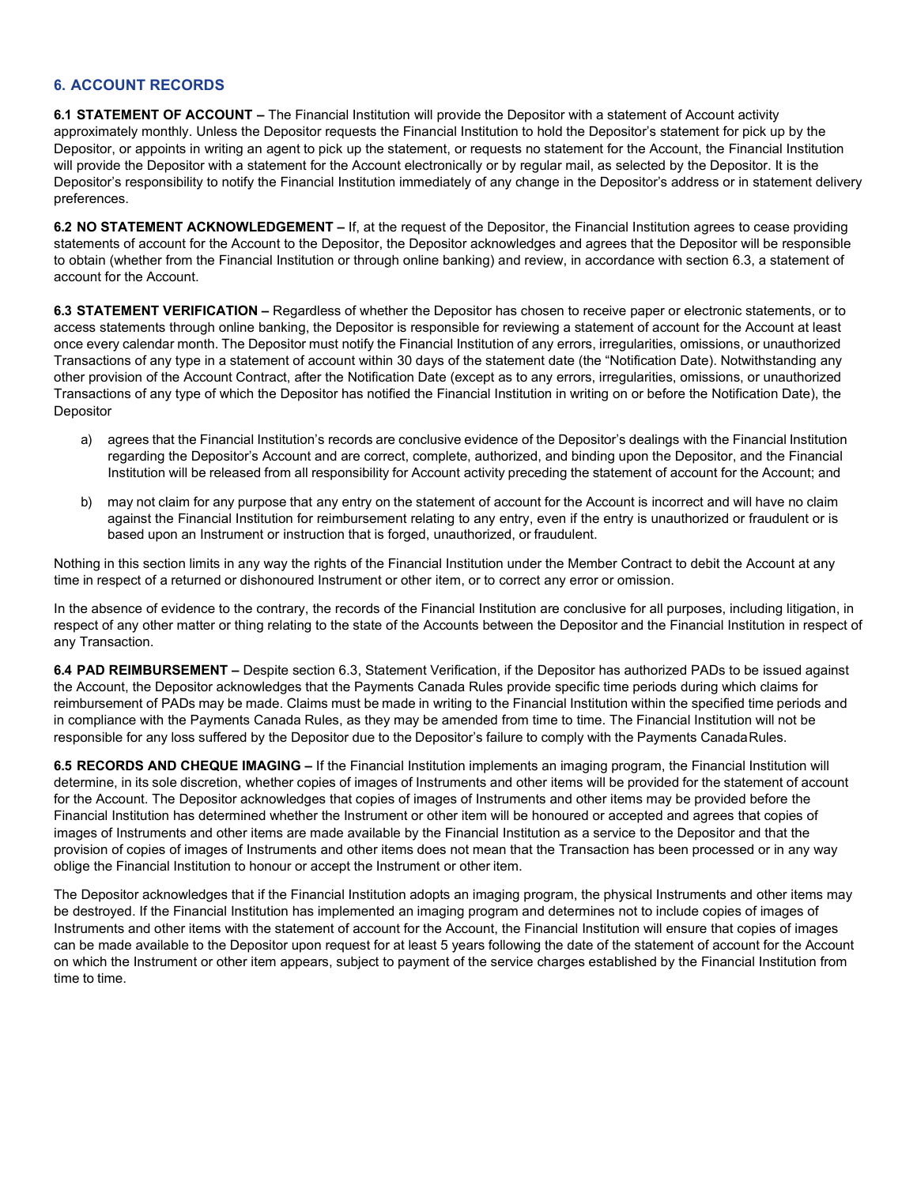# **6. ACCOUNT RECORDS**

**6.1 STATEMENT OF ACCOUNT –** The Financial Institution will provide the Depositor with a statement of Account activity approximately monthly. Unless the Depositor requests the Financial Institution to hold the Depositor's statement for pick up by the Depositor, or appoints in writing an agent to pick up the statement, or requests no statement for the Account, the Financial Institution will provide the Depositor with a statement for the Account electronically or by regular mail, as selected by the Depositor. It is the Depositor's responsibility to notify the Financial Institution immediately of any change in the Depositor's address or in statement delivery preferences.

**6.2 NO STATEMENT ACKNOWLEDGEMENT –** If, at the request of the Depositor, the Financial Institution agrees to cease providing statements of account for the Account to the Depositor, the Depositor acknowledges and agrees that the Depositor will be responsible to obtain (whether from the Financial Institution or through online banking) and review, in accordance with section 6.3, a statement of account for the Account.

**6.3 STATEMENT VERIFICATION –** Regardless of whether the Depositor has chosen to receive paper or electronic statements, or to access statements through online banking, the Depositor is responsible for reviewing a statement of account for the Account at least once every calendar month. The Depositor must notify the Financial Institution of any errors, irregularities, omissions, or unauthorized Transactions of any type in a statement of account within 30 days of the statement date (the "Notification Date). Notwithstanding any other provision of the Account Contract, after the Notification Date (except as to any errors, irregularities, omissions, or unauthorized Transactions of any type of which the Depositor has notified the Financial Institution in writing on or before the Notification Date), the **Depositor** 

- a) agrees that the Financial Institution's records are conclusive evidence of the Depositor's dealings with the Financial Institution regarding the Depositor's Account and are correct, complete, authorized, and binding upon the Depositor, and the Financial Institution will be released from all responsibility for Account activity preceding the statement of account for the Account; and
- b) may not claim for any purpose that any entry on the statement of account for the Account is incorrect and will have no claim against the Financial Institution for reimbursement relating to any entry, even if the entry is unauthorized or fraudulent or is based upon an Instrument or instruction that is forged, unauthorized, or fraudulent.

Nothing in this section limits in any way the rights of the Financial Institution under the Member Contract to debit the Account at any time in respect of a returned or dishonoured Instrument or other item, or to correct any error or omission.

In the absence of evidence to the contrary, the records of the Financial Institution are conclusive for all purposes, including litigation, in respect of any other matter or thing relating to the state of the Accounts between the Depositor and the Financial Institution in respect of any Transaction.

**6.4 PAD REIMBURSEMENT –** Despite section 6.3, Statement Verification, if the Depositor has authorized PADs to be issued against the Account, the Depositor acknowledges that the Payments Canada Rules provide specific time periods during which claims for reimbursement of PADs may be made. Claims must be made in writing to the Financial Institution within the specified time periods and in compliance with the Payments Canada Rules, as they may be amended from time to time. The Financial Institution will not be responsible for any loss suffered by the Depositor due to the Depositor's failure to comply with the Payments CanadaRules.

**6.5 RECORDS AND CHEQUE IMAGING –** If the Financial Institution implements an imaging program, the Financial Institution will determine, in its sole discretion, whether copies of images of Instruments and other items will be provided for the statement of account for the Account. The Depositor acknowledges that copies of images of Instruments and other items may be provided before the Financial Institution has determined whether the Instrument or other item will be honoured or accepted and agrees that copies of images of Instruments and other items are made available by the Financial Institution as a service to the Depositor and that the provision of copies of images of Instruments and other items does not mean that the Transaction has been processed or in any way oblige the Financial Institution to honour or accept the Instrument or other item.

The Depositor acknowledges that if the Financial Institution adopts an imaging program, the physical Instruments and other items may be destroyed. If the Financial Institution has implemented an imaging program and determines not to include copies of images of Instruments and other items with the statement of account for the Account, the Financial Institution will ensure that copies of images can be made available to the Depositor upon request for at least 5 years following the date of the statement of account for the Account on which the Instrument or other item appears, subject to payment of the service charges established by the Financial Institution from time to time.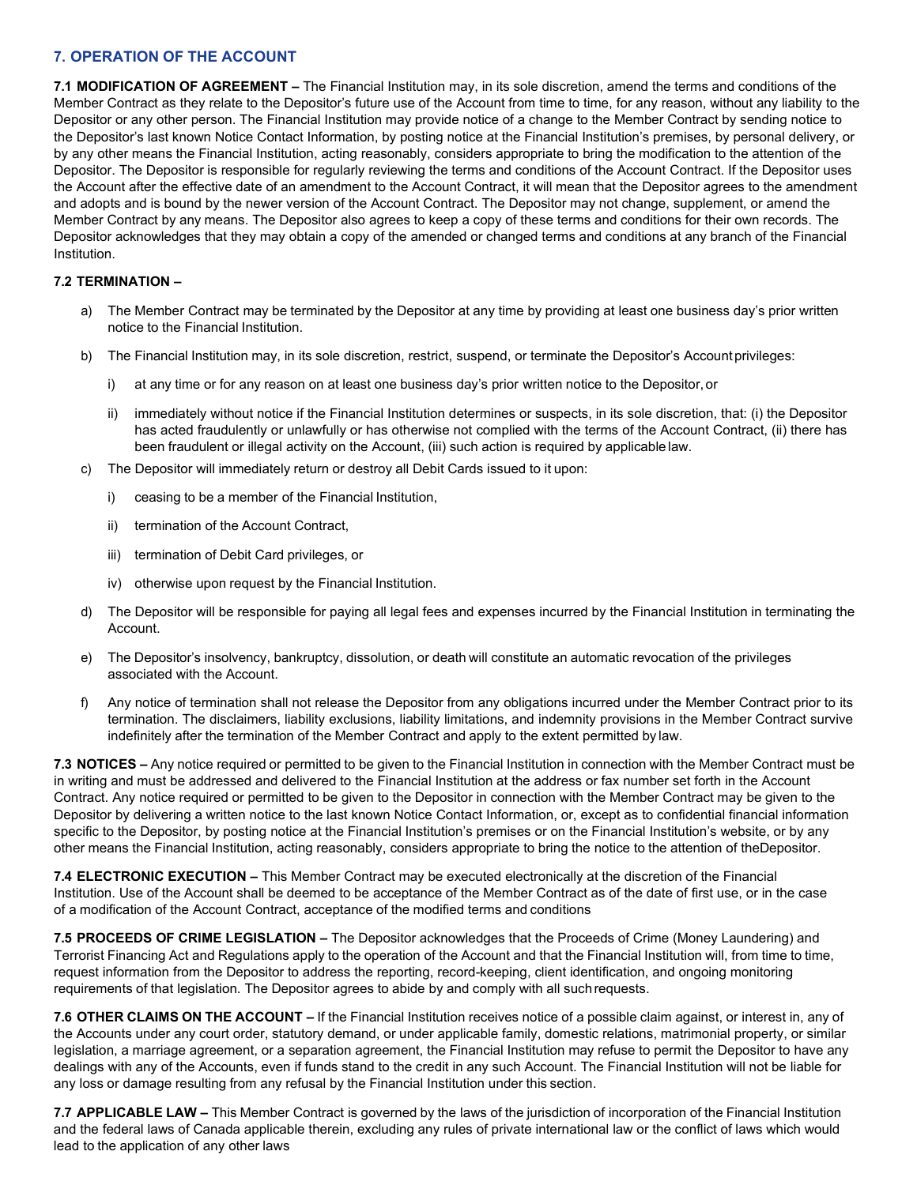# **7. OPERATION OF THE ACCOUNT**

**7.1 MODIFICATION OF AGREEMENT –** The Financial Institution may, in its sole discretion, amend the terms and conditions of the Member Contract as they relate to the Depositor's future use of the Account from time to time, for any reason, without any liability to the Depositor or any other person. The Financial Institution may provide notice of a change to the Member Contract by sending notice to the Depositor's last known Notice Contact Information, by posting notice at the Financial Institution's premises, by personal delivery, or by any other means the Financial Institution, acting reasonably, considers appropriate to bring the modification to the attention of the Depositor. The Depositor is responsible for regularly reviewing the terms and conditions of the Account Contract. If the Depositor uses the Account after the effective date of an amendment to the Account Contract, it will mean that the Depositor agrees to the amendment and adopts and is bound by the newer version of the Account Contract. The Depositor may not change, supplement, or amend the Member Contract by any means. The Depositor also agrees to keep a copy of these terms and conditions for their own records. The Depositor acknowledges that they may obtain a copy of the amended or changed terms and conditions at any branch of the Financial Institution.

# **7.2 TERMINATION –**

- a) The Member Contract may be terminated by the Depositor at any time by providing at least one business day's prior written notice to the Financial Institution.
- b) The Financial Institution may, in its sole discretion, restrict, suspend, or terminate the Depositor's Account privileges:
	- i) at any time or for any reason on at least one business day's prior written notice to the Depositor, or
	- ii) immediately without notice if the Financial Institution determines or suspects, in its sole discretion, that: (i) the Depositor has acted fraudulently or unlawfully or has otherwise not complied with the terms of the Account Contract, (ii) there has been fraudulent or illegal activity on the Account, (iii) such action is required by applicable law.
- c) The Depositor will immediately return or destroy all Debit Cards issued to it upon:
	- ceasing to be a member of the Financial Institution,
	- ii) termination of the Account Contract,
	- iii) termination of Debit Card privileges, or
	- iv) otherwise upon request by the Financial Institution.
- d) The Depositor will be responsible for paying all legal fees and expenses incurred by the Financial Institution in terminating the Account.
- e) The Depositor's insolvency, bankruptcy, dissolution, or death will constitute an automatic revocation of the privileges associated with the Account.
- f) Any notice of termination shall not release the Depositor from any obligations incurred under the Member Contract prior to its termination. The disclaimers, liability exclusions, liability limitations, and indemnity provisions in the Member Contract survive indefinitely after the termination of the Member Contract and apply to the extent permitted by law.

**7.3 NOTICES –** Any notice required or permitted to be given to the Financial Institution in connection with the Member Contract must be in writing and must be addressed and delivered to the Financial Institution at the address or fax number set forth in the Account Contract. Any notice required or permitted to be given to the Depositor in connection with the Member Contract may be given to the Depositor by delivering a written notice to the last known Notice Contact Information, or, except as to confidential financial information specific to the Depositor, by posting notice at the Financial Institution's premises or on the Financial Institution's website, or by any other means the Financial Institution, acting reasonably, considers appropriate to bring the notice to the attention of theDepositor.

**7.4 ELECTRONIC EXECUTION –** This Member Contract may be executed electronically at the discretion of the Financial Institution. Use of the Account shall be deemed to be acceptance of the Member Contract as of the date of first use, or in the case of a modification of the Account Contract, acceptance of the modified terms and conditions

**7.5 PROCEEDS OF CRIME LEGISLATION –** The Depositor acknowledges that the Proceeds of Crime (Money Laundering) and Terrorist Financing Act and Regulations apply to the operation of the Account and that the Financial Institution will, from time to time, request information from the Depositor to address the reporting, record-keeping, client identification, and ongoing monitoring requirements of that legislation. The Depositor agrees to abide by and comply with all suchrequests.

**7.6 OTHER CLAIMS ON THE ACCOUNT –** If the Financial Institution receives notice of a possible claim against, or interest in, any of the Accounts under any court order, statutory demand, or under applicable family, domestic relations, matrimonial property, or similar legislation, a marriage agreement, or a separation agreement, the Financial Institution may refuse to permit the Depositor to have any dealings with any of the Accounts, even if funds stand to the credit in any such Account. The Financial Institution will not be liable for any loss or damage resulting from any refusal by the Financial Institution under this section.

**7.7 APPLICABLE LAW –** This Member Contract is governed by the laws of the jurisdiction of incorporation of the Financial Institution and the federal laws of Canada applicable therein, excluding any rules of private international law or the conflict of laws which would lead to the application of any other laws